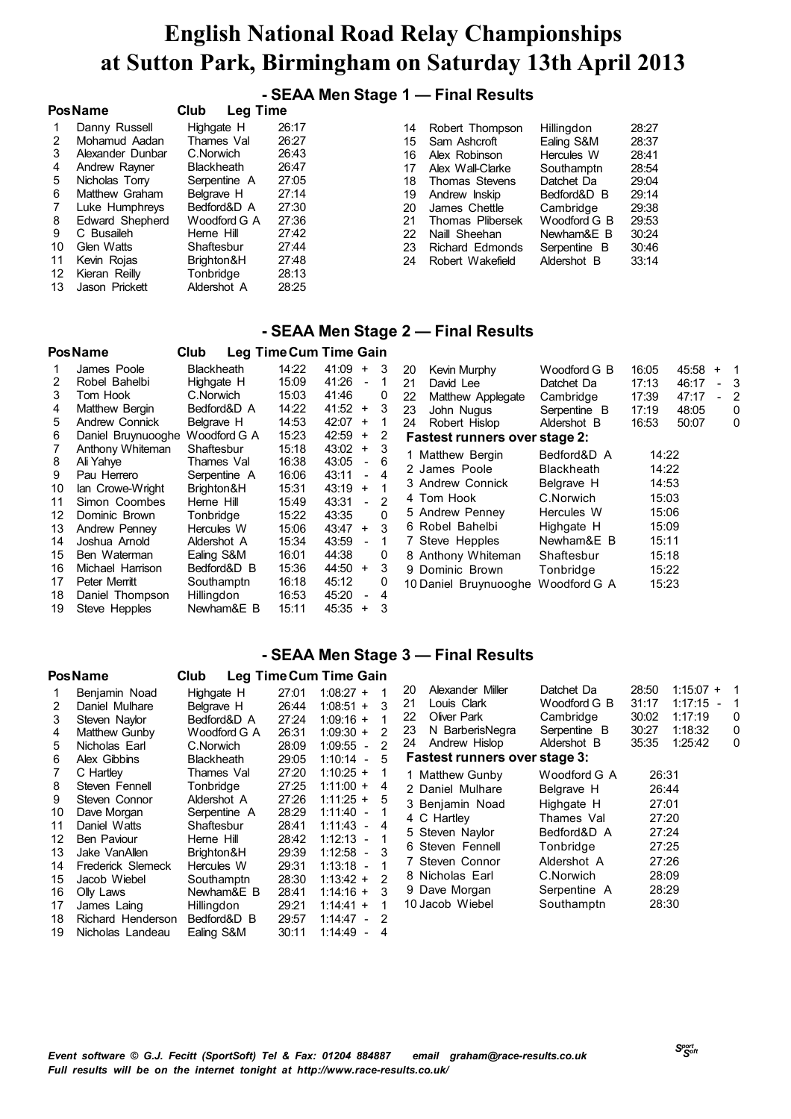### **- SEAA Men Stage 1 — Final Results**

|    | <b>PosName</b>   | Club<br><b>Leg Time</b> |       |    |                  |              |       |
|----|------------------|-------------------------|-------|----|------------------|--------------|-------|
|    | Danny Russell    | Highgate H              | 26:17 | 14 | Robert Thompson  | Hillingdon   | 28:27 |
|    | Mohamud Aadan    | Thames Val              | 26:27 | 15 | Sam Ashcroft     | Ealing S&M   | 28:37 |
| 3  | Alexander Dunbar | C.Norwich               | 26:43 | 16 | Alex Robinson    | Hercules W   | 28:41 |
| 4  | Andrew Rayner    | <b>Blackheath</b>       | 26:47 | 17 | Alex Wall-Clarke | Southampth   | 28:54 |
| 5  | Nicholas Torry   | Serpentine A            | 27:05 | 18 | Thomas Stevens   | Datchet Da   | 29:04 |
| 6  | Matthew Graham   | Belgrave H              | 27:14 | 19 | Andrew Inskip    | Bedford&D B  | 29:14 |
|    | Luke Humphreys   | Bedford&D A             | 27:30 | 20 | James Chettle    | Cambridge    | 29:38 |
| 8  | Edward Shepherd  | Woodford G A            | 27:36 | 21 | Thomas Plibersek | Woodford G B | 29:53 |
| 9  | C Busaileh       | Herne Hill              | 27:42 | 22 | Naill Sheehan    | Newham&E B   | 30:24 |
| 10 | Glen Watts       | Shaftesbur              | 27:44 | 23 | Richard Edmonds  | Serpentine B | 30:46 |
| 11 | Kevin Rojas      | Brighton&H              | 27:48 | 24 | Robert Wakefield | Aldershot B  | 33:14 |
| 12 | Kieran Reilly    | Tonbridge               | 28:13 |    |                  |              |       |
| 13 | Jason Prickett   | Aldershot A             | 28:25 |    |                  |              |       |

### **- SEAA Men Stage 2 — Final Results**

|    | <b>PosName</b>        | Club              | Leg Time Cum Time Gain |           |                |          |    |                                      |                   |       |  |
|----|-----------------------|-------------------|------------------------|-----------|----------------|----------|----|--------------------------------------|-------------------|-------|--|
|    | James Poole           | <b>Blackheath</b> | 14:22                  | 41:09     | $+$            | 3        | 20 | Kevin Murphy                         | Woodford G B      | 16:05 |  |
| 2  | Robel Bahelbi         | Highgate H        | 15:09                  | 41:26     | $\sim$         |          | 21 | David Lee                            | Datchet Da        | 17:13 |  |
| 3  | Tom Hook              | C.Norwich         | 15:03                  | 41:46     |                | 0        | 22 | Matthew Applegate                    | Cambridge         | 17:39 |  |
| 4  | Matthew Bergin        | Bedford&D A       | 14:22                  | $41:52 +$ |                | 3        | 23 | John Nuaus                           | Serpentine B      | 17:19 |  |
| 5  | <b>Andrew Connick</b> | Belgrave H        | 14:53                  | 42:07     | $\overline{+}$ | 1        | 24 | Robert Hislop                        | Aldershot B       | 16:53 |  |
| 6  | Daniel Bruynuooghe    | Woodford G A      | 15:23                  | 42:59     | $^{+}$         | 2        |    | <b>Fastest runners over stage 2:</b> |                   |       |  |
|    | Anthony Whiteman      | Shaftesbur        | 15:18                  | 43:02     | $+$            | 3        |    | 1 Matthew Bergin                     | Bedford&D A       | 14:22 |  |
| 8  | Ali Yahve             | Thames Val        | 16:38                  | 43:05     | $\sim$         | 6        |    | 2 James Poole                        | <b>Blackheath</b> | 14:22 |  |
| 9  | Pau Herrero           | Serpentine A      | 16:06                  | 43:11     |                | 4        |    |                                      |                   |       |  |
| 10 | lan Crowe-Wright      | Brighton&H        | 15:31                  | 43:19     | $+$            |          |    | 3 Andrew Connick                     | Belgrave H        | 14:53 |  |
| 11 | Simon Coombes         | Herne Hill        | 15:49                  | 43:31     |                | 2        |    | 4 Tom Hook                           | C.Norwich         | 15:03 |  |
| 12 | Dominic Brown         | Tonbridge         | 15:22                  | 43:35     |                | $\Omega$ |    | 5 Andrew Penney                      | Hercules W        | 15:06 |  |
| 13 | <b>Andrew Penney</b>  | Hercules W        | 15:06                  | 43:47     | $+$            | 3        |    | 6 Robel Bahelbi                      | Highgate H        | 15:09 |  |
| 14 | Joshua Arnold         | Aldershot A       | 15:34                  | 43:59     |                | 1        |    | 7 Steve Hepples                      | Newham&E B        | 15:11 |  |
| 15 | Ben Waterman          | Ealing S&M        | 16:01                  | 44:38     |                | $\Omega$ |    | 8 Anthony Whiteman                   | Shaftesbur        | 15:18 |  |
| 16 | Michael Harrison      | Bedford&D B       | 15:36                  | $44:50 +$ |                | 3        |    | 9 Dominic Brown                      | Tonbridge         | 15:22 |  |
| 17 | Peter Merritt         | Southamptn        | 16:18                  | 45:12     |                | 0        |    | 10 Daniel Bruynuooghe                | Woodford G A      | 15:23 |  |
| 18 | Daniel Thompson       | Hillingdon        | 16:53                  | 45:20     |                | 4        |    |                                      |                   |       |  |
| 19 | Steve Hepples         | Newham&E B        | 15:11                  | 45:35     | $\ddot{}$      | 3        |    |                                      |                   |       |  |

### **- SEAA Men Stage 3 — Final Results**

|    | <b>PosName</b>    | Club              |       | Leg Time Cum Time Gain |     |                                      |              |       |                   |   |
|----|-------------------|-------------------|-------|------------------------|-----|--------------------------------------|--------------|-------|-------------------|---|
|    | Benjamin Noad     | Highgate H        | 27:01 | $1:08:27 +$            |     | Alexander Miller<br>20               | Datchet Da   | 28:50 | $1:15:07 + 1$     |   |
| 2  | Daniel Mulhare    | Belgrave H        | 26:44 | $1:08:51 +$            | -3  | Louis Clark<br>21                    | Woodford G B | 31:17 | 1:17:15<br>$\sim$ |   |
| 3  | Steven Naylor     | Bedford&D A       | 27:24 | $1:09:16 +$            |     | Oliver Park<br>22                    | Cambridge    | 30:02 | 1:17:19           | 0 |
| 4  | Matthew Gunby     | Woodford G A      | 26:31 | $1:09:30 +$            | 2   | N BarberisNegra<br>23                | Serpentine B | 30:27 | 1:18:32           | 0 |
| 5  | Nicholas Earl     | C.Norwich         | 28:09 | 1:09:55 -              | 2   | Andrew Hislop<br>24                  | Aldershot B  | 35:35 | 1:25:42           | 0 |
| 6  | Alex Gibbins      | <b>Blackheath</b> | 29:05 | $1:10:14 -$            | 5   | <b>Fastest runners over stage 3:</b> |              |       |                   |   |
|    | C Hartley         | Thames Val        | 27:20 | $1:10:25 +$            |     | 1 Matthew Gunby                      | Woodford G A | 26:31 |                   |   |
| 8  | Steven Fennell    | Tonbridge         | 27:25 | $1:11:00 +$            | 4   | 2 Daniel Mulhare                     | Belgrave H   | 26:44 |                   |   |
| 9  | Steven Connor     | Aldershot A       | 27:26 | $1:11:25 + 5$          |     | 3 Benjamin Noad                      | Highgate H   | 27:01 |                   |   |
| 10 | Dave Morgan       | Serpentine A      | 28:29 | $1:11:40 -$            |     | 4 C Hartley                          | Thames Val   | 27:20 |                   |   |
| 11 | Daniel Watts      | Shaftesbur        | 28:41 | 1:11:43 - 4            |     | 5 Steven Naylor                      | Bedford&D A  | 27:24 |                   |   |
| 12 | Ben Paviour       | Herne Hill        | 28:42 | $1:12:13 -$            |     |                                      |              |       |                   |   |
| 13 | Jake VanAllen     | Brighton&H        | 29:39 | $1:12:58 -$            |     | 6 Steven Fennell                     | Tonbridge    | 27:25 |                   |   |
| 14 | Frederick Slemeck | Hercules W        | 29:31 | $1:13:18 -$            |     | 7 Steven Connor                      | Aldershot A  | 27:26 |                   |   |
| 15 | Jacob Wiebel      | Southamptn        | 28:30 | $1:13:42 +$            | 2   | 8 Nicholas Earl                      | C.Norwich    | 28:09 |                   |   |
| 16 | Olly Laws         | Newham&E B        | 28:41 | $1:14:16 + 3$          |     | 9 Dave Morgan                        | Serpentine A | 28:29 |                   |   |
| 17 | James Laing       | Hillingdon        | 29:21 | $1:14:41 +$            |     | 10 Jacob Wiebel                      | Southampth   | 28:30 |                   |   |
| 18 | Richard Henderson | Bedford&D B       | 29:57 | $1:14:47 -$            | - 2 |                                      |              |       |                   |   |
| 19 | Nicholas Landeau  | Ealing S&M        | 30:11 | $1:14:49 -$            | 4   |                                      |              |       |                   |   |

Woodford G B 16:05 45:58 + 1<br>Datchet Da 17:13 46:17 - 3 Datchet Da 17:13 46:17 - 3<br>Cambridge 17:39 47:17 - 2

Serpentine B 17:19 48:05 0 Aldershot B 16:53 50:07 0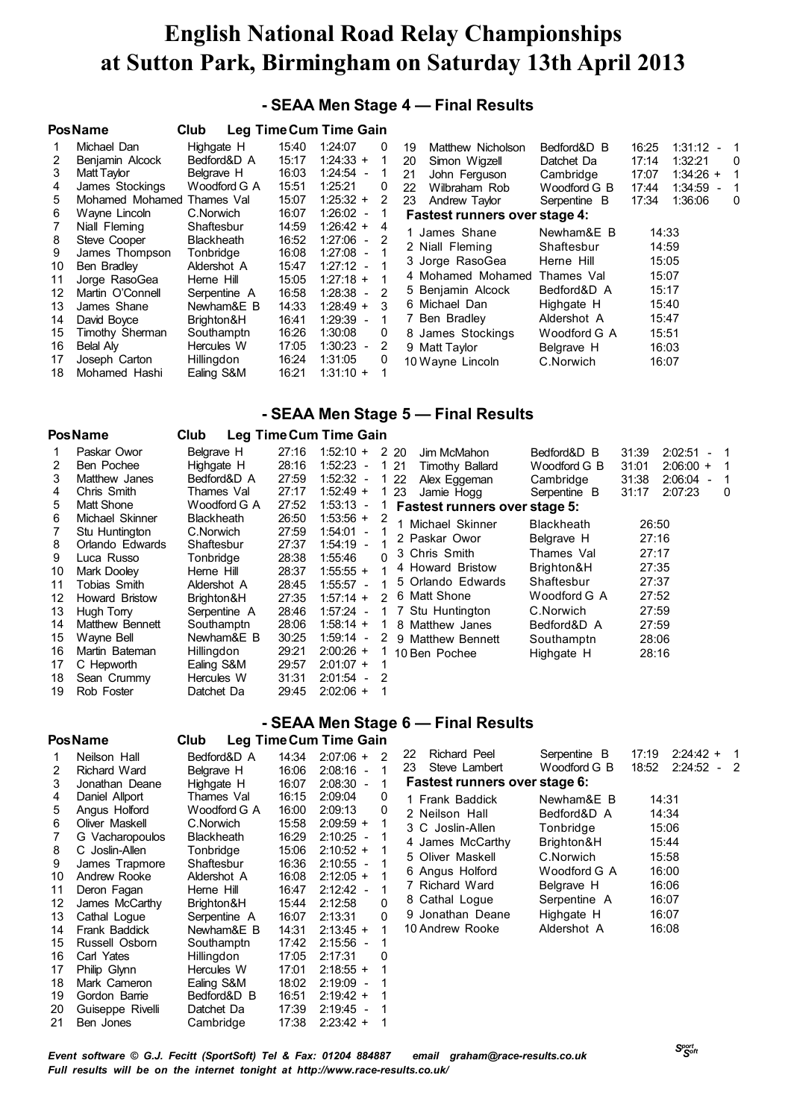### **- SEAA Men Stage 4 — Final Results**

|    | <b>PosName</b>             | Club              |       | Leg Time Cum Time Gain |     |                                      |              |       |                                     |   |
|----|----------------------------|-------------------|-------|------------------------|-----|--------------------------------------|--------------|-------|-------------------------------------|---|
|    | Michael Dan                | Highgate H        | 15:40 | 1:24:07                | 0   | Matthew Nicholson<br>19              | Bedford&D B  | 16:25 | 1:31:12<br>$\overline{\phantom{a}}$ |   |
| 2  | Benjamin Alcock            | Bedford&D A       | 15:17 | $1:24:33 +$            |     | Simon Wigzell<br>20                  | Datchet Da   | 17:14 | 1:32:21                             | 0 |
| 3  | Matt Taylor                | Belgrave H        | 16:03 | $1:24:54 -$            | 1   | John Ferguson<br>21                  | Cambridge    | 17:07 | $1:34:26 +$                         |   |
| 4  | James Stockings            | Woodford G A      | 15:51 | 1:25:21                | 0   | Wilbraham Rob<br>22                  | Woodford G B | 17:44 | 1:34:59<br>$\overline{\phantom{a}}$ |   |
| 5. | Mohamed Mohamed Thames Val |                   | 15:07 | 1:25:32 +              | 2   | Andrew Taylor<br>23                  | Serpentine B | 17:34 | 1:36:06                             | 0 |
| 6  | Wayne Lincoln              | C.Norwich         | 16:07 | $1:26:02 -$            |     | <b>Fastest runners over stage 4:</b> |              |       |                                     |   |
|    | Niall Fleming              | Shaftesbur        | 14:59 | $1:26:42 +$            | 4   | 1 James Shane                        | Newham&E B   | 14:33 |                                     |   |
| 8  | Steve Cooper               | <b>Blackheath</b> | 16:52 | $1:27:06 - 2$          |     | 2 Niall Fleming                      | Shaftesbur   | 14:59 |                                     |   |
| 9  | James Thompson             | Tonbridge         | 16:08 | $1:27:08 -$            |     |                                      |              |       |                                     |   |
| 10 | Ben Bradlev                | Aldershot A       | 15:47 | $1:27:12 -$            |     | 3 Jorge RasoGea                      | Herne Hill   | 15:05 |                                     |   |
| 11 | Jorge RasoGea              | Herne Hill        | 15:05 | $1:27:18 +$            |     | 4 Mohamed Mohamed                    | Thames Val   | 15:07 |                                     |   |
| 12 | Martin O'Connell           | Serpentine A      | 16:58 | $1:28:38 -$            | - 2 | 5 Benjamin Alcock                    | Bedford&D A  | 15:17 |                                     |   |
| 13 | James Shane                | Newham&E B        | 14:33 | $1:28:49 +$            | 3   | 6 Michael Dan                        | Highgate H   | 15:40 |                                     |   |
| 14 | David Boyce                | Brighton&H        | 16:41 | 1:29:39 -              |     | 7 Ben Bradley                        | Aldershot A  | 15:47 |                                     |   |
| 15 | Timothy Sherman            | Southampth        | 16:26 | 1:30:08                | 0   | 8 James Stockings                    | Woodford G A | 15:51 |                                     |   |
| 16 | Belal Alv                  | Hercules W        | 17:05 | 1:30:23 -              | 2   | 9 Matt Taylor                        | Belgrave H   | 16:03 |                                     |   |
| 17 | Joseph Carton              | Hillingdon        | 16:24 | 1:31:05                | 0   | 10 Wayne Lincoln                     | C.Norwich    | 16:07 |                                     |   |
| 18 | Mohamed Hashi              | Ealing S&M        | 16:21 | $1:31:10 +$            |     |                                      |              |       |                                     |   |

#### **- SEAA Men Stage 5 — Final Results**

|    | <b>PosName</b>        | Club              |       | Leg Time Cum Time Gain              |          |      |                               |                   |       |             |     |
|----|-----------------------|-------------------|-------|-------------------------------------|----------|------|-------------------------------|-------------------|-------|-------------|-----|
|    | Paskar Owor           | Belgrave H        | 27:16 | $1:52:10 +$                         |          | 2 20 | Jim McMahon                   | Bedford&D B       | 31:39 | 2:02:51     | - 1 |
|    | Ben Pochee            | Highgate H        | 28:16 | 1:52:23<br>$\overline{\phantom{a}}$ |          | 1 21 | Timothy Ballard               | Woodford G B      | 31:01 | $2:06:00 +$ |     |
| 3  | Matthew Janes         | Bedford&D A       | 27:59 | 1:52:32<br>$\blacksquare$           |          | 122  | Alex Eggeman                  | Cambridge         | 31:38 | $2:06:04 -$ |     |
| 4  | Chris Smith           | Thames Val        | 27:17 | $1:52:49 +$                         |          | 1 23 | Jamie Hogg                    | Serpentine B      | 31:17 | 2:07:23     | 0   |
| 5  | Matt Shone            | Woodford G A      | 27:52 | 1:53:13<br>$\blacksquare$           |          |      | Fastest runners over stage 5: |                   |       |             |     |
| 6  | Michael Skinner       | <b>Blackheath</b> | 26:50 | 1:53:56 +                           | 2        |      | Michael Skinner               | <b>Blackheath</b> | 26:50 |             |     |
|    | Stu Huntington        | C.Norwich         | 27:59 | 1:54:01<br>$\overline{\phantom{a}}$ |          |      | 2 Paskar Owor                 |                   | 27:16 |             |     |
| 8  | Orlando Edwards       | Shaftesbur        | 27:37 | 1:54:19<br>$\blacksquare$           |          |      |                               | Belgrave H        |       |             |     |
| 9  | Luca Russo            | Tonbridge         | 28:38 | 1:55:46                             | $\Omega$ |      | 3 Chris Smith                 | Thames Val        | 27:17 |             |     |
| 10 | Mark Dooley           | Herne Hill        | 28:37 | $1:55:55 +$                         |          |      | 4 Howard Bristow              | Brighton&H        | 27:35 |             |     |
| 11 | Tobias Smith          | Aldershot A       | 28:45 | $1:55:57 -$                         |          |      | 5 Orlando Edwards             | Shaftesbur        | 27:37 |             |     |
| 12 | <b>Howard Bristow</b> | Brighton&H        | 27:35 | $1:57:14 +$                         | 2        |      | 6 Matt Shone                  | Woodford G A      | 27:52 |             |     |
| 13 | Hugh Torry            | Serpentine A      | 28:46 | $1:57:24 -$                         |          |      | 1 7 Stu Huntington            | C.Norwich         | 27:59 |             |     |
| 14 | Matthew Bennett       | Southamptn        | 28:06 | $1:58:14$ +                         |          |      | 8 Matthew Janes               | Bedford&D A       | 27:59 |             |     |
| 15 | Wayne Bell            | Newham&E B        | 30:25 | $1:59:14 -$                         | 2        |      | 9 Matthew Bennett             | Southamptn        | 28:06 |             |     |
| 16 | Martin Bateman        | Hillingdon        | 29:21 | $2:00:26 +$                         |          |      | 10 Ben Pochee                 | Highgate H        | 28:16 |             |     |
| 17 | C Hepworth            | Ealing S&M        | 29:57 | $2:01:07 +$                         |          |      |                               |                   |       |             |     |
| 18 | Sean Crummy           | Hercules W        | 31:31 | $2:01:54 -$                         | 2        |      |                               |                   |       |             |     |
| 19 | Rob Foster            | Datchet Da        | 29:45 | $2:02:06 +$                         |          |      |                               |                   |       |             |     |

#### **- SEAA Men Stage 6 — Final Results**

|    | <b>Pos Name</b>  | Club              |       | <b>Leg Time Cum Time Gain</b> |          |                               |              |       |                   |     |
|----|------------------|-------------------|-------|-------------------------------|----------|-------------------------------|--------------|-------|-------------------|-----|
|    | Neilson Hall     | Bedford&D A       | 14:34 | $2:07:06 + 2$                 |          | Richard Peel<br>22            | Serpentine B | 17:19 | $2:24:42 + 1$     |     |
| 2  | Richard Ward     | Belgrave H        | 16:06 | $2:08:16 -$                   |          | Steve Lambert<br>23           | Woodford G B | 18:52 | 2:24:52<br>$\sim$ | - 2 |
| 3  | Jonathan Deane   | Highgate H        | 16:07 | $2:08:30 -$                   | 1        | Fastest runners over stage 6: |              |       |                   |     |
| 4  | Daniel Allport   | Thames Val        | 16:15 | 2:09:04                       | 0        | 1 Frank Baddick               | Newham&E B   | 14:31 |                   |     |
| 5  | Angus Holford    | Woodford G A      | 16:00 | 2:09:13                       | 0        | 2 Neilson Hall                | Bedford&D A  |       | 14:34             |     |
| 6  | Oliver Maskell   | C.Norwich         | 15:58 | $2:09:59 +$                   |          | 3 C Joslin-Allen              | Tonbridge    |       | 15:06             |     |
|    | G Vacharopoulos  | <b>Blackheath</b> | 16:29 | $2:10:25 -$                   |          | 4 James McCarthy              | Brighton&H   |       | 15:44             |     |
| 8  | C Joslin-Allen   | Tonbridge         | 15:06 | $2:10:52 +$                   |          | 5 Oliver Maskell              | C.Norwich    |       | 15:58             |     |
| 9  | James Trapmore   | Shaftesbur        | 16:36 | $2:10:55 -$                   |          |                               |              |       |                   |     |
| 10 | Andrew Rooke     | Aldershot A       | 16:08 | $2:12:05 +$                   |          | 6 Angus Holford               | Woodford G A |       | 16:00             |     |
| 11 | Deron Fagan      | Herne Hill        | 16:47 | $2:12:42 -$                   |          | 7 Richard Ward                | Belgrave H   |       | 16:06             |     |
| 12 | James McCarthy   | Brighton&H        | 15:44 | 2:12:58                       | 0        | 8 Cathal Logue                | Serpentine A | 16:07 |                   |     |
| 13 | Cathal Loque     | Serpentine A      | 16:07 | 2:13:31                       | $\Omega$ | 9 Jonathan Deane              | Highgate H   |       | 16:07             |     |
| 14 | Frank Baddick    | Newham&E B        | 14:31 | $2:13:45 +$                   |          | 10 Andrew Rooke               | Aldershot A  |       | 16:08             |     |
| 15 | Russell Osborn   | Southamptn        | 17:42 | $2:15:56 -$                   |          |                               |              |       |                   |     |
| 16 | Carl Yates       | Hillingdon        | 17:05 | 2:17:31                       | 0        |                               |              |       |                   |     |
| 17 | Philip Glynn     | Hercules W        | 17:01 | $2:18:55 +$                   |          |                               |              |       |                   |     |
| 18 | Mark Cameron     | Ealing S&M        | 18:02 | $2:19:09 -$                   |          |                               |              |       |                   |     |
| 19 | Gordon Barrie    | Bedford&D B       | 16:51 | $2:19:42 +$                   |          |                               |              |       |                   |     |
| 20 | Guiseppe Rivelli | Datchet Da        | 17:39 | $2:19:45 -$                   |          |                               |              |       |                   |     |
| 21 | Ben Jones        | Cambridge         | 17:38 | $2:23:42 +$                   |          |                               |              |       |                   |     |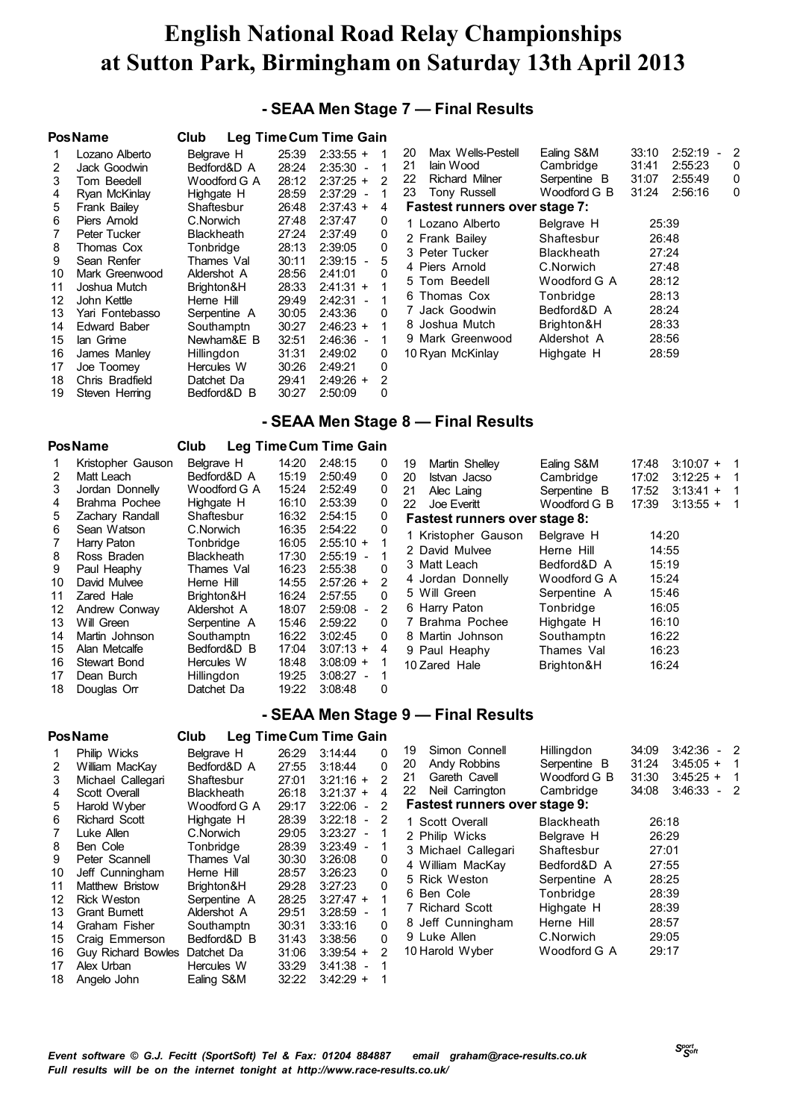### **- SEAA Men Stage 7 — Final Results**

|    | <b>PosName</b>  | Club         |       | <b>Leg Time Cum Time Gain</b>       |   |
|----|-----------------|--------------|-------|-------------------------------------|---|
| 1  | Lozano Alberto  | Belgrave H   | 25:39 | $2:33:55 +$                         | 1 |
| 2  | Jack Goodwin    | Bedford&D A  | 28:24 | 2:35:30                             | 1 |
| 3  | Tom Beedell     | Woodford G A | 28:12 | $2:37:25 +$                         | 2 |
| 4  | Ryan McKinlay   | Highgate H   | 28:59 | 2:37:29                             | 1 |
| 5  | Frank Bailey    | Shaftesbur   | 26:48 | $2:37:43 +$                         | 4 |
| 6  | Piers Arnold    | C.Norwich    | 27:48 | 2:37:47                             | 0 |
| 7  | Peter Tucker    | Blackheath   | 27:24 | 2:37:49                             | 0 |
| 8  | Thomas Cox      | Tonbridge    | 28:13 | 2:39:05                             | 0 |
| 9  | Sean Renfer     | Thames Val   | 30:11 | $2:39:15 -$                         | 5 |
| 10 | Mark Greenwood  | Aldershot A  | 28:56 | 2:41:01                             | 0 |
| 11 | Joshua Mutch    | Brighton&H   | 28:33 | $2:41:31 +$                         | 1 |
| 12 | John Kettle     | Herne Hill   | 29:49 | 2:42:31                             | 1 |
| 13 | Yari Fontebasso | Serpentine A | 30:05 | 2:43:36                             | 0 |
| 14 | Edward Baber    | Southamptn   | 30:27 | $2:46:23 +$                         | 1 |
| 15 | lan Grime       | Newham&E B   | 32:51 | 2:46:36<br>$\overline{\phantom{a}}$ | 1 |
| 16 | James Manley    | Hillingdon   | 31:31 | 2:49:02                             | 0 |
| 17 | Joe Toomey      | Hercules W   | 30:26 | 2:49:21                             | 0 |
| 18 | Chris Bradfield | Datchet Da   | 29:41 | $2:49:26 +$                         | 2 |
| 19 | Steven Herrina  | Bedford&D B  | 30:27 | 2:50:09                             | 0 |

| Max Wells-Pestell<br>20<br>21<br>lain Wood<br>22<br>Richard Milner<br>23<br><b>Tony Russell</b><br><b>Fastest runners over stage 7:</b> | Ealing S&M<br>Cambridge<br>Serpentine B<br>Woodford G B | 33:10<br>2:52:19<br>31:41<br>2:55:23<br>2:55:49<br>31:07<br>31:24<br>2:56:16 | 2<br>0<br>0<br>0 |
|-----------------------------------------------------------------------------------------------------------------------------------------|---------------------------------------------------------|------------------------------------------------------------------------------|------------------|
| 1 Lozano Alberto                                                                                                                        | Belgrave H                                              | 25:39                                                                        |                  |
| 2 Frank Bailey                                                                                                                          | Shaftesbur                                              | 26:48                                                                        |                  |
| 3 Peter Tucker                                                                                                                          | <b>Blackheath</b>                                       | 27:24                                                                        |                  |
| 4 Piers Arnold                                                                                                                          | C.Norwich                                               | 27:48                                                                        |                  |
| 5 Tom Beedell                                                                                                                           | Woodford G A                                            | 28:12                                                                        |                  |
| 6 Thomas Cox                                                                                                                            | Tonbridge                                               | 28:13                                                                        |                  |
| 7 Jack Goodwin                                                                                                                          | Bedford&D A                                             | 28:24                                                                        |                  |
| 8 Joshua Mutch                                                                                                                          | Brighton&H                                              | 28:33                                                                        |                  |
| 9 Mark Greenwood                                                                                                                        | Aldershot A                                             | 28:56                                                                        |                  |
| 10 Ryan McKinlay                                                                                                                        | Highgate H                                              | 28:59                                                                        |                  |

### **- SEAA Men Stage 8 — Final Results**

|    | <b>PosName</b>    | Club              | <b>Leg Time Cum Time Gain</b> |                   |   |
|----|-------------------|-------------------|-------------------------------|-------------------|---|
| 1  | Kristopher Gauson | Belgrave H        | 14:20                         | 2:48:15           | 0 |
| 2  | Matt Leach        | Bedford&D A       | 15:19                         | 2:50:49           | 0 |
| 3  | Jordan Donnelly   | Woodford G A      | 15:24                         | 2:52:49           | 0 |
| 4  | Brahma Pochee     | Highgate H        | 16:10                         | 2:53:39           | 0 |
| 5  | Zachary Randall   | Shaftesbur        | 16:32                         | 2:54:15           | 0 |
| 6  | Sean Watson       | C.Norwich         | 16:35                         | 2:54:22           | 0 |
| 7  | Harry Paton       | Tonbridge         | 16:05                         | $2:55:10 +$       | 1 |
| 8  | Ross Braden       | <b>Blackheath</b> | 17:30                         | 2:55:19<br>$\sim$ | 1 |
| 9  | Paul Heaphy       | Thames Val        | 16:23                         | 2:55:38           | 0 |
| 10 | David Mulvee      | Herne Hill        | 14:55                         | $2:57:26 +$       | 2 |
| 11 | Zared Hale        | Brighton&H        | 16:24                         | 2:57:55           | 0 |
| 12 | Andrew Conway     | Aldershot A       | 18:07                         | $2:59:08 -$       | 2 |
| 13 | Will Green        | Serpentine A      | 15:46                         | 2:59:22           | 0 |
| 14 | Martin Johnson    | Southamptn        | 16:22                         | 3:02:45           | 0 |
| 15 | Alan Metcalfe     | Bedford&D B       | 17:04                         | $3:07:13 +$       | 4 |
| 16 | Stewart Bond      | Hercules W        | 18:48                         | $3:08:09 +$       | 1 |
| 17 | Dean Burch        | Hillingdon        | 19:25                         | 3:08:27           | 1 |
| 18 | Douglas Orr       | Datchet Da        | 19:22                         | 3:08:48           | 0 |

| 19<br>Martin Shelley<br>Istvan Jacso<br>20<br>21<br>Alec Laing<br>Joe Everitt<br>22 | Ealing S&M<br>Cambridge<br>Serpentine B<br>Woodford G B | 17:48<br>17:02<br>17:52<br>17:39 | $3:10:07 +$<br>$3:12:25 +$<br>$3:13:41 +$<br>$3:13:55 +$ | 1<br>1<br>$\mathbf 1$<br>1 |
|-------------------------------------------------------------------------------------|---------------------------------------------------------|----------------------------------|----------------------------------------------------------|----------------------------|
| Fastest runners over stage 8:                                                       |                                                         |                                  |                                                          |                            |
| 1 Kristopher Gauson                                                                 | Belgrave H                                              | 14:20                            |                                                          |                            |
| 2 David Mulvee                                                                      | Herne Hill                                              | 14:55                            |                                                          |                            |
| 3 Matt Leach                                                                        | Bedford&D A                                             | 15:19                            |                                                          |                            |
| 4 Jordan Donnelly                                                                   | Woodford G A                                            | 15:24                            |                                                          |                            |
| 5 Will Green                                                                        | Serpentine A                                            | 15:46                            |                                                          |                            |
| 6 Harry Paton                                                                       | Tonbridge                                               | 16:05                            |                                                          |                            |
| 7 Brahma Pochee                                                                     | Highgate H                                              | 16:10                            |                                                          |                            |
| 8 Martin Johnson                                                                    | Southamptn                                              | 16:22                            |                                                          |                            |
| 9 Paul Heaphy                                                                       | Thames Val                                              | 16:23                            |                                                          |                            |
| 10 Zared Hale                                                                       | Brighton&H                                              | 16:24                            |                                                          |                            |
|                                                                                     |                                                         |                                  |                                                          |                            |

### **- SEAA Men Stage 9 — Final Results**

|    | <b>PosName</b>            | Club              |       | Leg Time Cum Time Gain |          |                               |                   |       |               |     |
|----|---------------------------|-------------------|-------|------------------------|----------|-------------------------------|-------------------|-------|---------------|-----|
|    | Philip Wicks              | Belgrave H        | 26:29 | 3:14:44                | 0        | Simon Connell<br>19           | Hillingdon        | 34:09 | $3:42:36 - 2$ |     |
| 2  | William MacKay            | Bedford&D A       | 27:55 | 3:18:44                | $\Omega$ | Andy Robbins<br>20            | Serpentine B      | 31:24 | $3:45:05 +$   | - 1 |
| 3  | Michael Callegari         | Shaftesbur        | 27:01 | $3:21:16 +$            | 2        | Gareth Cavell<br>21           | Woodford G B      | 31:30 | $3:45:25 +$   | - 1 |
| 4  | Scott Overall             | <b>Blackheath</b> | 26:18 | $3:21:37 +$            | 4        | Neil Carrington<br>22         | Cambridge         | 34:08 | $3:46:33 - 2$ |     |
| 5. | Harold Wyber              | Woodford G A      | 29:17 | $3:22:06 -$            | 2        | Fastest runners over stage 9: |                   |       |               |     |
| 6  | <b>Richard Scott</b>      | Highgate H        | 28:39 | $3:22:18 -$            | -2       | 1 Scott Overall               | <b>Blackheath</b> | 26:18 |               |     |
|    | Luke Allen                | C.Norwich         | 29:05 | $3:23:27 -$            |          | 2 Philip Wicks                | Belgrave H        | 26:29 |               |     |
| 8  | Ben Cole                  | Tonbridge         | 28:39 | $3:23:49 -$            |          | 3 Michael Callegari           | Shaftesbur        | 27:01 |               |     |
| 9  | Peter Scannell            | Thames Val        | 30:30 | 3:26:08                | 0        | 4 William MacKay              | Bedford&D A       | 27:55 |               |     |
| 10 | Jeff Cunningham           | Herne Hill        | 28:57 | 3:26:23                | 0        | 5 Rick Weston                 | Serpentine A      | 28:25 |               |     |
| 11 | Matthew Bristow           | Brighton&H        | 29:28 | 3:27:23                | 0        | 6 Ben Cole                    | Tonbridge         | 28:39 |               |     |
| 12 | <b>Rick Weston</b>        | Serpentine A      | 28:25 | $3:27:47 +$            |          |                               |                   |       |               |     |
| 13 | <b>Grant Burnett</b>      | Aldershot A       | 29:51 | $3:28:59 -$            |          | 7 Richard Scott               | Highgate H        | 28:39 |               |     |
| 14 | Graham Fisher             | Southamptn        | 30:31 | 3:33:16                | 0        | 8 Jeff Cunningham             | Herne Hill        | 28:57 |               |     |
| 15 | Craig Emmerson            | Bedford&D B       | 31:43 | 3:38:56                | $\Omega$ | 9 Luke Allen                  | C.Norwich         | 29:05 |               |     |
| 16 | <b>Guy Richard Bowles</b> | Datchet Da        | 31:06 | $3:39:54 +$            | 2        | 10 Harold Wyber               | Woodford G A      | 29:17 |               |     |
| 17 | Alex Urban                | Hercules W        | 33:29 | $3:41:38 -$            |          |                               |                   |       |               |     |
| 18 | Angelo John               | Ealing S&M        | 32:22 | $3:42:29 +$            |          |                               |                   |       |               |     |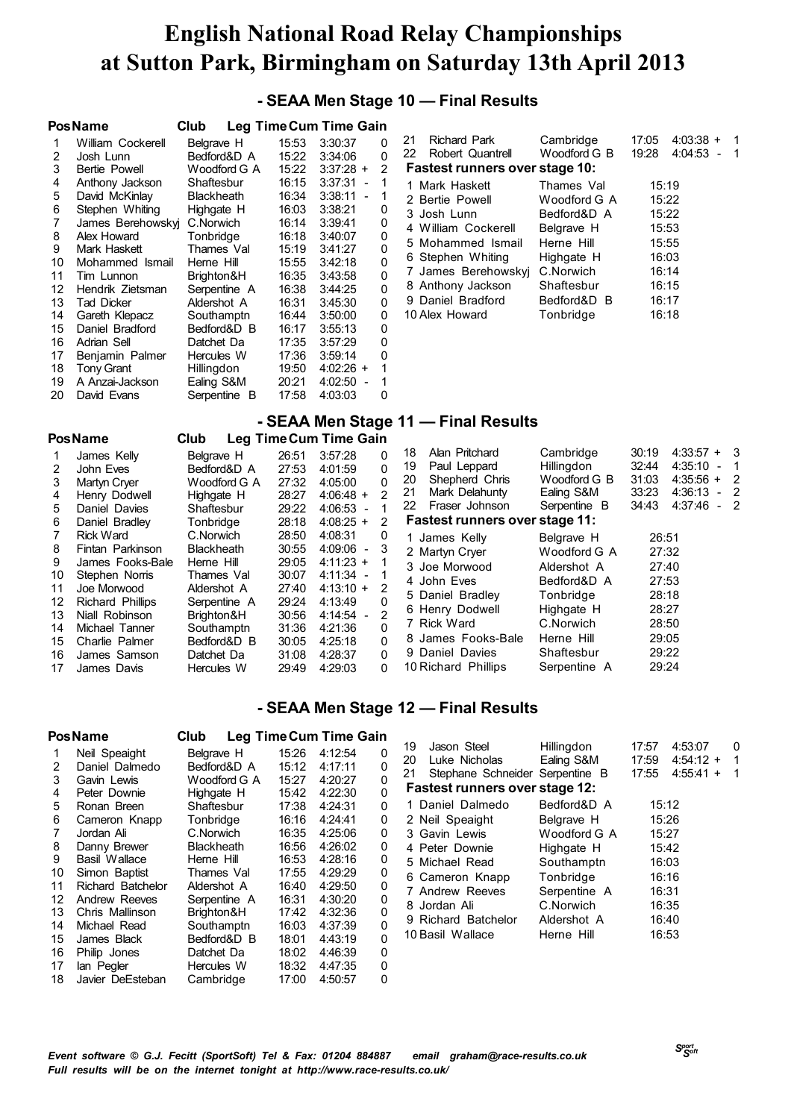### **- SEAA Men Stage 10 — Final Results**

|    | <b>Pos Name</b>   | Club              |       | <b>Leg Time Cum Time Gain</b> |                |
|----|-------------------|-------------------|-------|-------------------------------|----------------|
| 1  | William Cockerell | Belgrave H        | 15:53 | 3:30:37                       | 0              |
| 2  | Josh Lunn         | Bedford&D A       | 15:22 | 3:34:06                       | 0              |
| 3  | Bertie Powell     | Woodford G A      | 15:22 | $3:37:28 +$                   | $\overline{2}$ |
| 4  | Anthony Jackson   | Shaftesbur        | 16:15 | 3:37:31                       | 1              |
| 5  | David McKinlay    | <b>Blackheath</b> | 16:34 | 3:38:11<br>$\overline{a}$     | 1              |
| 6  | Stephen Whiting   | Highgate H        | 16:03 | 3:38:21                       | 0              |
| 7  | James Berehowskyi | C.Norwich         | 16:14 | 3:39:41                       | 0              |
| 8  | Alex Howard       | Tonbridge         | 16:18 | 3:40:07                       | 0              |
| 9  | Mark Haskett      | Thames Val        | 15:19 | 3:41:27                       | 0              |
| 10 | Mohammed Ismail   | Herne Hill        | 15:55 | 3:42:18                       | 0              |
| 11 | Tim Lunnon        | Brighton&H        | 16:35 | 3:43:58                       | 0              |
| 12 | Hendrik Zietsman  | Serpentine A      | 16:38 | 3:44:25                       | 0              |
| 13 | Tad Dicker        | Aldershot A       | 16:31 | 3:45:30                       | 0              |
| 14 | Gareth Klepacz    | Southamptn        | 16:44 | 3:50:00                       | 0              |
| 15 | Daniel Bradford   | Bedford&D B       | 16:17 | 3:55:13                       | 0              |
| 16 | Adrian Sell       | Datchet Da        | 17:35 | 3:57:29                       | 0              |
| 17 | Benjamin Palmer   | Hercules W        | 17:36 | 3:59:14                       | 0              |
| 18 | <b>Tony Grant</b> | Hillingdon        | 19:50 | $4:02:26 +$                   | 1              |
| 19 | A Anzai-Jackson   | Ealing S&M        | 20:21 | 4:02:50                       | 1              |
| 20 | David Evans       | Serpentine B      | 17:58 | 4:03:03                       | 0              |

| 21                             | Richard Park        | Cambridge    | 17:05 | $4:03:38 +$ | 1  |  |  |  |  |
|--------------------------------|---------------------|--------------|-------|-------------|----|--|--|--|--|
| 22                             | Robert Quantrell    | Woodford G B | 19:28 | $4:04:53 -$ | -1 |  |  |  |  |
| Fastest runners over stage 10: |                     |              |       |             |    |  |  |  |  |
|                                | 1 Mark Haskett      | Thames Val   | 15:19 |             |    |  |  |  |  |
|                                | 2 Bertie Powell     | Woodford G A | 15:22 |             |    |  |  |  |  |
|                                | 3 Josh Lunn         | Bedford&D A  | 15:22 |             |    |  |  |  |  |
|                                | 4 William Cockerell | Belgrave H   | 15:53 |             |    |  |  |  |  |
|                                | 5 Mohammed Ismail   | Herne Hill   | 15:55 |             |    |  |  |  |  |
|                                | 6 Stephen Whiting   | Highgate H   | 16:03 |             |    |  |  |  |  |
|                                | 7 James Berehowskyj | C.Norwich    | 16:14 |             |    |  |  |  |  |
|                                | 8 Anthony Jackson   | Shaftesbur   | 16:15 |             |    |  |  |  |  |
|                                | 9 Daniel Bradford   | Bedford&D B  | 16:17 |             |    |  |  |  |  |
|                                | 10 Alex Howard      | Tonbridge    | 16:18 |             |    |  |  |  |  |

### **- SEAA Men Stage 11 — Final Results**

|    | <b>PosName</b>   | Club              |       | <b>Leg Time Cum Time Gain</b> |   |                      |                                |       |               |      |
|----|------------------|-------------------|-------|-------------------------------|---|----------------------|--------------------------------|-------|---------------|------|
|    | James Kelly      | Belgrave H        | 26:51 | 3:57:28                       | 0 | Alan Pritchard<br>18 | Cambridge                      | 30:19 | $4:33:57 + 3$ |      |
|    | John Eves        | Bedford&D A       | 27:53 | 4:01:59                       | 0 | Paul Leppard<br>19   | Hillingdon                     | 32:44 | 4:35:10       | $-1$ |
| 3  | Martyn Cryer     | Woodford G A      | 27:32 | 4:05:00                       | 0 | Shepherd Chris<br>20 | Woodford G B                   | 31:03 | $4:35:56 + 2$ |      |
| 4  | Henry Dodwell    | Highgate H        | 28:27 | $4:06:48 +$                   | 2 | Mark Delahunty<br>21 | Ealing S&M                     | 33:23 | 4:36:13       | $-2$ |
| 5. | Daniel Davies    | Shaftesbur        | 29:22 | $4:06:53 -$                   |   | Fraser Johnson<br>22 | Serpentine B                   | 34:43 | 4:37:46       | $-2$ |
| 6  | Daniel Bradlev   | Tonbridge         | 28:18 | $4:08:25 +$                   | 2 |                      | Fastest runners over stage 11: |       |               |      |
|    | <b>Rick Ward</b> | C.Norwich         | 28:50 | 4:08:31                       | 0 | 1 James Kelly        | Belgrave H                     | 26:51 |               |      |
| 8  | Fintan Parkinson | <b>Blackheath</b> | 30:55 | $4:09:06 -$                   | 3 | 2 Martyn Cryer       | Woodford G A                   | 27:32 |               |      |
| 9  | James Fooks-Bale | Herne Hill        | 29:05 | $4:11:23 +$                   |   | 3 Joe Morwood        | Aldershot A                    | 27:40 |               |      |
| 10 | Stephen Norris   | Thames Val        | 30:07 | $4:11:34 -$                   |   | 4 John Eves          | Bedford&D A                    | 27:53 |               |      |
| 11 | Joe Morwood      | Aldershot A       | 27:40 | $4:13:10 +$                   | 2 | 5 Daniel Bradley     | Tonbridge                      | 28:18 |               |      |
| 12 | Richard Phillips | Serpentine A      | 29:24 | 4:13:49                       | 0 |                      |                                |       |               |      |
| 13 | Niall Robinson   | Brighton&H        | 30:56 | $4:14:54 -$                   | 2 | 6 Henry Dodwell      | Highgate H                     | 28:27 |               |      |
| 14 | Michael Tanner   | Southamptn        | 31:36 | 4:21:36                       | 0 | 7 Rick Ward          | C.Norwich                      | 28:50 |               |      |
| 15 | Charlie Palmer   | Bedford&D B       | 30:05 | 4:25:18                       | 0 | 8 James Fooks-Bale   | Herne Hill                     | 29:05 |               |      |
| 16 | James Samson     | Datchet Da        | 31:08 | 4:28:37                       | 0 | 9 Daniel Davies      | Shaftesbur                     | 29:22 |               |      |
| 17 | James Davis      | Hercules W        | 29:49 | 4:29:03                       | 0 | 10 Richard Phillips  | Serpentine A                   | 29:24 |               |      |

### **- SEAA Men Stage 12 — Final Results**

|    | <b>PosName</b>    | Club       |              |       | <b>Leg Time Cum Time Gain</b> |   |
|----|-------------------|------------|--------------|-------|-------------------------------|---|
|    | Neil Speaight     |            | Belgrave H   |       | 4:12:54                       | 0 |
| 2  | Daniel Dalmedo    |            | Bedford&D A  | 15:12 | 4:17:11                       | 0 |
| 3  | Gavin Lewis       |            | Woodford G A | 15:27 | 4:20:27                       | 0 |
| 4  | Peter Downie      |            | Highgate H   | 15:42 | 4:22:30                       | 0 |
| 5  | Ronan Breen       |            | Shaftesbur   | 17:38 | 4:24:31                       | 0 |
| 6  | Cameron Knapp     | Tonbridge  |              | 16:16 | 4:24:41                       | 0 |
| 7  | Jordan Ali        | C.Norwich  |              | 16:35 | 4:25:06                       | 0 |
| 8  | Danny Brewer      |            | Blackheath   | 16:56 | 4:26:02                       | 0 |
| 9  | Basil Wallace     | Herne Hill |              | 16:53 | 4:28:16                       | 0 |
| 10 | Simon Baptist     |            | Thames Val   | 17:55 | 4:29:29                       | 0 |
| 11 | Richard Batchelor |            | Aldershot A  | 16:40 | 4:29:50                       | 0 |
| 12 | Andrew Reeves     |            | Serpentine A | 16:31 | 4:30:20                       | 0 |
| 13 | Chris Mallinson   |            | Brighton&H   | 17:42 | 4:32:36                       | 0 |
| 14 | Michael Read      |            | Southamptn   | 16:03 | 4:37:39                       | 0 |
| 15 | James Black       |            | Bedford&D B  | 18:01 | 4:43:19                       | 0 |
| 16 | Philip Jones      |            | Datchet Da   | 18:02 | 4:46:39                       | 0 |
| 17 | lan Pegler        |            | Hercules W   | 18:32 | 4:47:35                       | 0 |
| 18 | Javier DeEsteban  |            | Cambridge    | 17:00 | 4:50:57                       | 0 |

|                 | 19<br>20<br>21                        | Jason Steel<br>Luke Nicholas<br>Stephane Schneider Serpentine B | Hillingdon<br>Ealing S&M | 17:57<br>17:59<br>17:55 | 4:53:07<br>$4:54:12 +$<br>$4:55:41 +$ | 0<br>1<br>1 |  |  |  |  |
|-----------------|---------------------------------------|-----------------------------------------------------------------|--------------------------|-------------------------|---------------------------------------|-------------|--|--|--|--|
|                 | <b>Fastest runners over stage 12:</b> |                                                                 |                          |                         |                                       |             |  |  |  |  |
|                 |                                       | 1 Daniel Dalmedo                                                | Bedford&D A              | 15:12                   |                                       |             |  |  |  |  |
| 2 Neil Speaight |                                       |                                                                 | Belgrave H               | 15:26                   |                                       |             |  |  |  |  |
| 3 Gavin Lewis   |                                       |                                                                 | Woodford G A             | 15:27                   |                                       |             |  |  |  |  |
|                 |                                       | 4 Peter Downie                                                  | Highgate H               | 15:42                   |                                       |             |  |  |  |  |
|                 |                                       | 5 Michael Read                                                  | Southamptn               | 16:03                   |                                       |             |  |  |  |  |
|                 |                                       | 6 Cameron Knapp                                                 | Tonbridge                | 16:16                   |                                       |             |  |  |  |  |
|                 |                                       | 7 Andrew Reeves                                                 | Serpentine A             | 16:31                   |                                       |             |  |  |  |  |
|                 |                                       | 8. Jordan Ali                                                   | C.Norwich                | 16:35                   |                                       |             |  |  |  |  |
|                 |                                       | 9 Richard Batchelor                                             | Aldershot A              | 16:40                   |                                       |             |  |  |  |  |
|                 |                                       | 10 Basil Wallace                                                | Herne Hill               | 16:53                   |                                       |             |  |  |  |  |
|                 |                                       |                                                                 |                          |                         |                                       |             |  |  |  |  |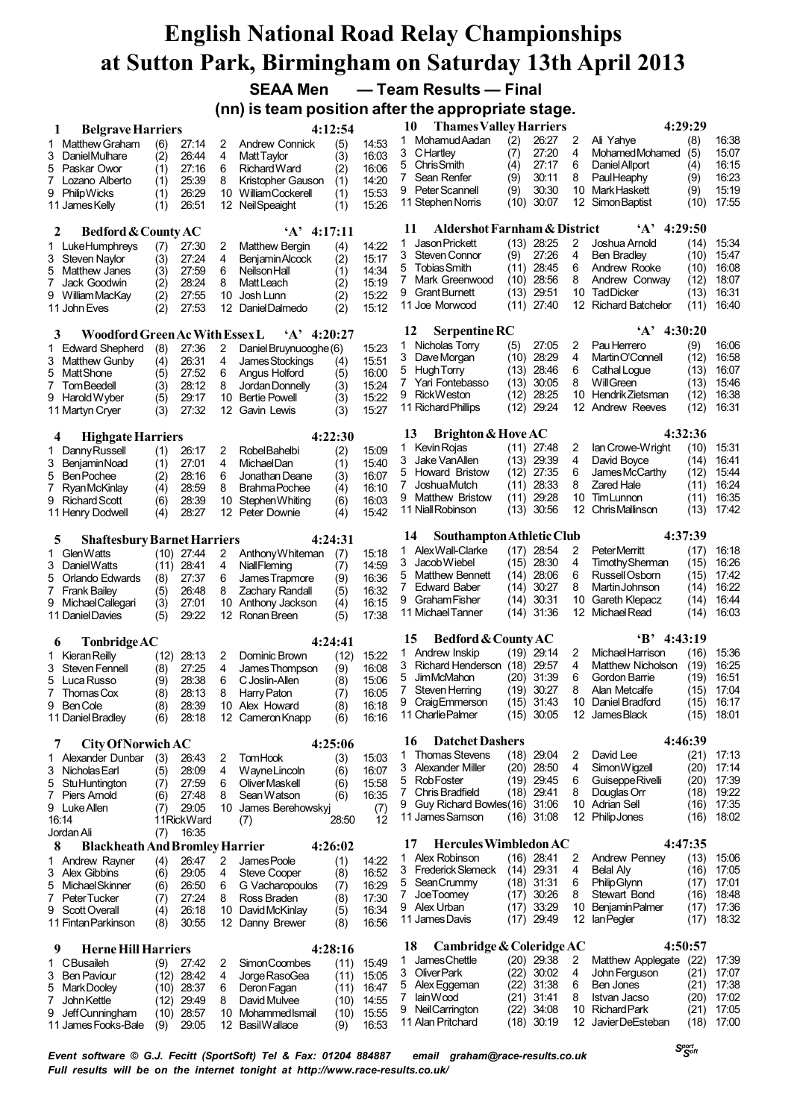**SEAA Men — Team Results — Final**

**(nn) is team position after the appropriate stage.**

|                                                                                                                                                               |                                                                                                              | . <u>.</u>                                                                                                                                                        |                                                   |                                                    | ~~~~~~~~~                                                                                                                                                         |                                                                                                   |                                                                    |                                                                                                                      |                                              |                                                    |
|---------------------------------------------------------------------------------------------------------------------------------------------------------------|--------------------------------------------------------------------------------------------------------------|-------------------------------------------------------------------------------------------------------------------------------------------------------------------|---------------------------------------------------|----------------------------------------------------|-------------------------------------------------------------------------------------------------------------------------------------------------------------------|---------------------------------------------------------------------------------------------------|--------------------------------------------------------------------|----------------------------------------------------------------------------------------------------------------------|----------------------------------------------|----------------------------------------------------|
| <b>Belgrave Harriers</b><br>1<br><b>Matthew Graham</b><br>1.<br>3 DanielMulhare<br>5<br>Paskar Owor<br>7 Lozano Alberto<br>9 Philip Wicks<br>11 James Kelly   | 27:14<br>(6)<br>(2)<br>26:44<br>(1)<br>27:16<br>(1)<br>25:39<br>(1)<br>26:29<br>26:51<br>(1)                 | 2<br>Andrew Connick<br>4<br>Matt Taylor<br>6<br>Richard Ward<br>8<br>Kristopher Gauson<br>10<br>William Cockerell<br>12<br>Neil Speaight                          | 4:12:54<br>(5)<br>(3)<br>(2)<br>(1)<br>(1)<br>(1) | 14:53<br>16:03<br>16:06<br>14:20<br>15:53<br>15:26 | 10<br><b>Thames Valley Harriers</b><br>1 Mohamud Aadan<br>CHartley<br>3<br>5<br><b>ChrisSmith</b><br>Sean Renfer<br>7<br>Peter Scannell<br>9<br>11 Stephen Norris | (2)<br>26:27<br>27:20<br>(7)<br>(4)<br>27:17<br>(9)<br>30:11<br>30:30<br>(9)<br>30:07<br>(10)     | 2<br>Ali Yahye<br>4<br>6<br>8<br>10<br>12 Simon Baptist            | 4:29:29<br>Mohamed Mohamed<br>Daniel Allport<br>PaulHeaphy<br>Mark Haskett                                           | (8)<br>(5)<br>(4)<br>(9)<br>(9)<br>(10)      | 16:38<br>15:07<br>16:15<br>16:23<br>15:19<br>17:55 |
| Bedford & County AC<br>2                                                                                                                                      |                                                                                                              | $\mathbf{A}$                                                                                                                                                      | 4:17:11                                           |                                                    | <b>Aldershot Farnham &amp; District</b><br>$\mathbf{A}$<br>11                                                                                                     |                                                                                                   |                                                                    |                                                                                                                      | 4:29:50                                      |                                                    |
| LukeHumphreys<br>1.<br>3 Steven Naylor<br><b>Matthew Janes</b><br>5<br>7<br>Jack Goodwin<br>9 William MacKay<br>11 John Eves                                  | 27:30<br>(7)<br>27:24<br>(3)<br>27:59<br>(3)<br>(2)<br>28:24<br>(2)<br>27:55<br>27:53<br>(2)                 | 2<br><b>Matthew Bergin</b><br>4<br>Benjamin Alcock<br>6<br>Neilson Hall<br>8<br>Matt Leach<br>10<br>Josh Lunn<br>12<br>DanielDalmedo                              | (4)<br>(2)<br>(1)<br>(2)<br>(2)<br>(2)            | 14:22<br>15:17<br>14:34<br>15:19<br>15:22<br>15:12 | Jason Prickett<br>1<br>3<br><b>Steven Connor</b><br>Tobias Smith<br>5<br>7<br>Mark Greenwood<br><b>Grant Burnett</b><br>9<br>11 Joe Morwood                       | $(13)$ 28:25<br>27:26<br>(9)<br>(11)<br>28:45<br>28:56<br>(10)<br>(13)<br>29:51<br>(11)<br>27:40  | 2<br>4<br>6<br>8<br>10<br>12                                       | Joshua Arnold<br><b>Ben Bradley</b><br>Andrew Rooke<br>Andrew Conway<br><b>TadDicker</b><br><b>Richard Batchelor</b> | (14)<br>(10)<br>(10)<br>(12)<br>(13)<br>(11) | 15:34<br>15:47<br>16:08<br>18:07<br>16:31<br>16:40 |
|                                                                                                                                                               |                                                                                                              |                                                                                                                                                                   |                                                   |                                                    | Serpentine RC<br>12                                                                                                                                               |                                                                                                   |                                                                    | $\mathbf{A}$<br>4:30:20                                                                                              |                                              |                                                    |
| Woodford Green Ac With Essex L<br>3<br>1 Edward Shepherd<br>3<br>Matthew Gunby<br>5<br>Matt Shone<br>7<br>Tom Beedell<br>9<br>Harold Wyber<br>11 Martyn Cryer | 27:36<br>(8)<br>26:31<br>(4)<br>27:52<br>(5)<br>28:12<br>(3)<br>29:17<br>(5)<br>27:32<br>(3)                 | $\mathbf{A}$<br>2<br>Daniel Bruynuooghe (6)<br>4<br>James Stockings<br>6<br>Angus Holford<br>8<br>Jordan Donnelly<br>10<br><b>Bertie Powell</b><br>12 Gavin Lewis | 4:20:27<br>(4)<br>(5)<br>(3)<br>(3)<br>(3)        | 15:23<br>15:51<br>16:00<br>15:24<br>15:22<br>15:27 | Nicholas Torry<br>1<br>3<br>Dave Morgan<br>5<br>Hugh Torry<br>7<br>Yari Fontebasso<br>9 RickWeston<br>11 Richard Phillips                                         | 27:05<br>(5)<br>28:29<br>(10)<br>28:46<br>(13)<br>(13)<br>30:05<br>(12)<br>28:25<br>(12)<br>29:24 | 2<br>4<br>6<br>8<br>Will Green                                     | Pau Herrero<br>Martin O'Connell<br>Cathal Logue<br>10 Hendrik Zietsman<br>12 Andrew Reeves                           | (9)<br>(12)<br>(13)<br>(13)<br>(12)<br>(12)  | 16:06<br>16:58<br>16:07<br>15:46<br>16:38<br>16:31 |
| 4:32:36<br>Brighton & Hove AC<br>13<br>4:22:30<br><b>Highgate Harriers</b>                                                                                    |                                                                                                              |                                                                                                                                                                   |                                                   |                                                    |                                                                                                                                                                   |                                                                                                   |                                                                    |                                                                                                                      |                                              |                                                    |
| 4<br>1 Danny Russell<br>Benjamin Noad<br>3<br>5<br><b>Ben Pochee</b><br><b>RyanMcKinlay</b><br>7<br>9 Richard Scott<br>11 Henry Dodwell                       | 26:17<br>(1)<br>27:01<br>(1)<br>(2)<br>28:16<br>28:59<br>(4)<br>(6)<br>28:39<br>28:27<br>(4)                 | 2<br><b>RobelBahelbi</b><br>4<br>Michael Dan<br>6<br>Jonathan Deane<br>8<br><b>BrahmaPochee</b><br>10<br>Stephen Whiting<br>12<br><b>Peter Downie</b>             | (2)<br>(1)<br>(3)<br>(4)<br>(6)<br>(4)            | 15:09<br>15:40<br>16:07<br>16:10<br>16:03<br>15:42 | Kevin Rojas<br>1<br>Jake VanAllen<br>3<br>5<br><b>Howard Bristow</b><br>7<br>Joshua Mutch<br><b>Matthew Bristow</b><br>9<br>11 Niall Robinson                     | $(11)$ 27:48<br>(13)<br>29:39<br>(12)<br>27:35<br>28:33<br>(11)<br>29:28<br>(11)<br>30:56<br>(13) | 2<br>4<br>6<br>8<br>10<br>12                                       | Ian Crowe-Wright<br>David Boyce<br>James McCarthy<br><b>Zared Hale</b><br><b>Tim Lunnon</b><br>Chris Mallinson       | (10)<br>(14)<br>(12)<br>(11)<br>(11)<br>(13) | 15:31<br>16:41<br>15:44<br>16:24<br>16:35<br>17:42 |
|                                                                                                                                                               |                                                                                                              |                                                                                                                                                                   | 4:24:31                                           |                                                    | Southampton Athletic Club<br>14                                                                                                                                   |                                                                                                   |                                                                    | 4:37:39                                                                                                              |                                              |                                                    |
| <b>Shaftesbury Barnet Harriers</b><br>5<br><b>Glen Watts</b><br>1.                                                                                            | 27:44<br>(10)                                                                                                | 2<br>Anthony Whiteman                                                                                                                                             | (7)                                               | 15:18                                              | Alex Wall-Clarke<br>1                                                                                                                                             | 28:54<br>(17)                                                                                     | 2                                                                  | <b>PeterMerritt</b>                                                                                                  | (17)                                         | 16:18                                              |
| 3<br><b>DanielWatts</b><br>5<br>Orlando Edwards<br>7<br><b>Frank Bailey</b><br>9 Michael Callegari<br>11 Daniel Davies                                        | (11)<br>28:41<br>27:37<br>(8)<br>(5)<br>26:48<br>(3)<br>27:01<br>(5)<br>29:22                                | 4<br><b>Niall Fleming</b><br>6<br>James Trapmore<br>8<br><b>Zachary Randall</b><br>10<br>Anthony Jackson<br>12<br>Ronan Breen                                     | (7)<br>(9)<br>(5)<br>(4)<br>(5)                   | 14:59<br>16:36<br>16:32<br>16:15<br>17:38          | Jacob Wiebel<br>3<br><b>Matthew Bennett</b><br>5<br><b>Edward Baber</b><br>7<br><b>Graham Fisher</b><br>9<br>11 Michael Tanner                                    | (15)<br>28:30<br>28:06<br>(14)<br>30:27<br>(14)<br>30:31<br>(14)<br>31:36<br>(14)                 | 4<br>6<br>8<br>10<br>12                                            | <b>Timothy Sherman</b><br>Russell Osborn<br>Martin Johnson<br>Gareth Klepacz<br>Michael Read                         | (15)<br>(15)<br>(14)<br>(14)<br>(14)         | 16:26<br>17:42<br>16:22<br>16:44<br>16:03          |
| <b>Tonbridge AC</b><br>6                                                                                                                                      |                                                                                                              |                                                                                                                                                                   | 4:24:41                                           |                                                    | Bedford & County AC<br>15                                                                                                                                         |                                                                                                   |                                                                    | ٤B,<br>4:43:19                                                                                                       |                                              |                                                    |
| 1 Kieran Reilly<br>3<br>Steven Fennell<br>5<br>Luca Russo<br>7<br>Thomas Cox<br>9<br><b>Ben Cole</b><br>11 Daniel Bradley                                     | 28:13<br>(12)<br>(8)<br>27:25<br>28:38<br>(9)<br>28:13<br>(8)<br>(8)<br>28:39<br>28:18<br>(6)                | 2<br>Dominic Brown<br>4<br>James Thompson<br>6<br>C Joslin-Allen<br>8<br>Harry Paton<br>10<br>Alex Howard<br>12 Cameron Knapp                                     | (12)<br>(9)<br>(8)<br>(7)<br>(8)<br>(6)           | 15:22<br>16:08<br>15:06<br>16:05<br>16:18<br>16:16 | Andrew Inskip<br>1<br>Richard Henderson<br>3<br><b>JimMcMahon</b><br>5<br>Steven Herring<br>7<br>CraigEmmerson<br>9<br>11 Charlie Palmer                          | (19)<br>29:14<br>(18)<br>29:57<br>31:39<br>(20)<br>30:27<br>(19)<br>(15)<br>31:43<br>$(15)$ 30:05 | 2<br>4<br>6<br>8<br>10<br>12 James Black                           | Michael Harrison<br>Matthew Nicholson<br>Gordon Barrie<br>Alan Metcalfe<br>Daniel Bradford                           | (16)<br>(19)<br>(19)<br>(15)<br>(15)<br>(15) | 15:36<br>16:25<br>16:51<br>17:04<br>16:17<br>18:01 |
| City Of Norwich AC<br>7                                                                                                                                       |                                                                                                              |                                                                                                                                                                   | 4:25:06                                           |                                                    | <b>Datchet Dashers</b><br>16                                                                                                                                      |                                                                                                   |                                                                    | 4:46:39                                                                                                              |                                              |                                                    |
| Alexander Dunbar<br>1.<br>3 Nicholas Earl<br>5<br><b>Stu Huntington</b><br>7 Piers Arnold<br>9 Luke Allen<br>16:14<br>Jordan Ali                              | (3)<br>26:43<br>(5)<br>28:09<br>27:59<br>(7)<br>27:48<br>(6)<br>29:05<br>(7)<br>11 Rick Ward<br>16:35<br>(7) | 2<br>TomHook<br>4<br>WayneLincoln<br>6<br>Oliver Maskell<br>8<br>Sean Watson<br>10<br>James Berehowskyj<br>(7)                                                    | (3)<br>(6)<br>(6)<br>(6)<br>28:50                 | 15:03<br>16:07<br>15:58<br>16:35<br>(7)<br>12      | <b>Thomas Stevens</b><br>1<br>3 Alexander Miller<br>5<br><b>RobFoster</b><br>7 Chris Bradfield<br>Guy Richard Bowles(16) 31:06<br>9<br>11 James Samson            | $(18)$ 29:04<br>$(20)$ 28:50<br>29:45<br>(19)<br>$(18)$ 29:41<br>$(16)$ 31:08                     | 2<br>David Lee<br>4<br>6<br>8<br>10 Adrian Sell<br>12 Philip Jones | Simon Wigzell<br>Guiseppe Rivelli<br>Douglas Orr                                                                     | (21)<br>(20)<br>(20)<br>(18)<br>(16)<br>(16) | 17:13<br>17:14<br>17:39<br>19:22<br>17:35<br>18:02 |
| <b>Blackheath And Bromley Harrier</b><br>8                                                                                                                    |                                                                                                              |                                                                                                                                                                   | 4:26:02                                           |                                                    | <b>Hercules Wimbledon AC</b><br>17                                                                                                                                |                                                                                                   |                                                                    | 4:47:35                                                                                                              |                                              |                                                    |
| Andrew Rayner<br>1.                                                                                                                                           | 26:47<br>(4)                                                                                                 | 2<br>James Poole                                                                                                                                                  | (1)                                               | 14:22                                              | 1 Alex Robinson<br>3 Frederick Slemeck                                                                                                                            | $(16)$ 28:41<br>$(14)$ 29:31                                                                      | 2<br>4                                                             | <b>Andrew Penney</b>                                                                                                 | (13)                                         | 15:06<br>17:05                                     |
| 3 Alex Gibbins<br>Michael Skinner<br>5<br>7 PeterTucker<br>Scott Overall<br>9<br>11 Fintan Parkinson                                                          | 29:05<br>(6)<br>26:50<br>(6)<br>(7)<br>27:24<br>26:18<br>(4)<br>30:55<br>(8)                                 | 4<br><b>Steve Cooper</b><br>6<br>G Vacharopoulos<br>8<br>Ross Braden<br>10<br>David McKinlay<br>12<br>Danny Brewer                                                | (8)<br>(7)<br>(8)<br>(5)<br>(8)                   | 16:52<br>16:29<br>17:30<br>16:34<br>16:56          | 5 SeanCrummy<br><b>Joe Toomey</b><br>7.<br>9 Alex Urban<br>11 James Davis                                                                                         | $(18)$ 31:31<br>$(17)$ 30:26<br>33:29<br>(17)<br>29:49<br>(17)                                    | Belal Aly<br>6<br>8<br>10<br>12<br>lan Pegler                      | <b>Philip Glynn</b><br>Stewart Bond<br><b>BenjaminPalmer</b>                                                         | (16)<br>(17)<br>(16)<br>(17)<br>(17)         | 17:01<br>18:48<br>17:36<br>18:32                   |
| <b>Herne Hill Harriers</b><br>9                                                                                                                               |                                                                                                              |                                                                                                                                                                   | 4:28:16                                           |                                                    | Cambridge & Coleridge AC<br>18                                                                                                                                    |                                                                                                   |                                                                    | 4:50:57                                                                                                              |                                              |                                                    |
| CBusaileh<br>1.<br>3 Ben Paviour<br>Mark Dooley<br>5<br><b>John Kettle</b><br>7<br><b>JeffCunningham</b><br>9<br>11 James Fooks-Bale                          | 27:42<br>(9)<br>(12)<br>28:42<br>28:37<br>(10)<br>(12)<br>29:49<br>$(10)$ 28:57<br>29:05<br>(9)              | Simon Coombes<br>2<br>4<br>Jorge RasoGea<br>6<br>Deron Fagan<br>8<br>David Mulvee<br>10<br>Mohammed Ismail<br>12 BasilWallace                                     | (11)<br>(11)<br>(11)<br>(10)<br>(10)<br>(9)       | 15:49<br>15:05<br>16:47<br>14:55<br>15:55<br>16:53 | James Chettle<br>1<br><b>OliverPark</b><br>3<br>5 Alex Eggeman<br>7<br>lain Wood<br>9 Neil Carrington<br>11 Alan Pritchard                                        | $(20)$ 29:38<br>(22)<br>30:02<br>$(22)$ 31:38<br>$(21)$ 31:41<br>(22)<br>34:08<br>$(18)$ 30:19    | 2<br>4<br>6<br>8<br>10                                             | Matthew Applegate<br>John Ferguson<br>Ben Jones<br>Istvan Jacso<br><b>RichardPark</b><br>12 JavierDeEsteban          | (22)<br>(21)<br>(21)<br>(20)<br>(21)<br>(18) | 17:39<br>17:07<br>17:38<br>17:02<br>17:05<br>17:00 |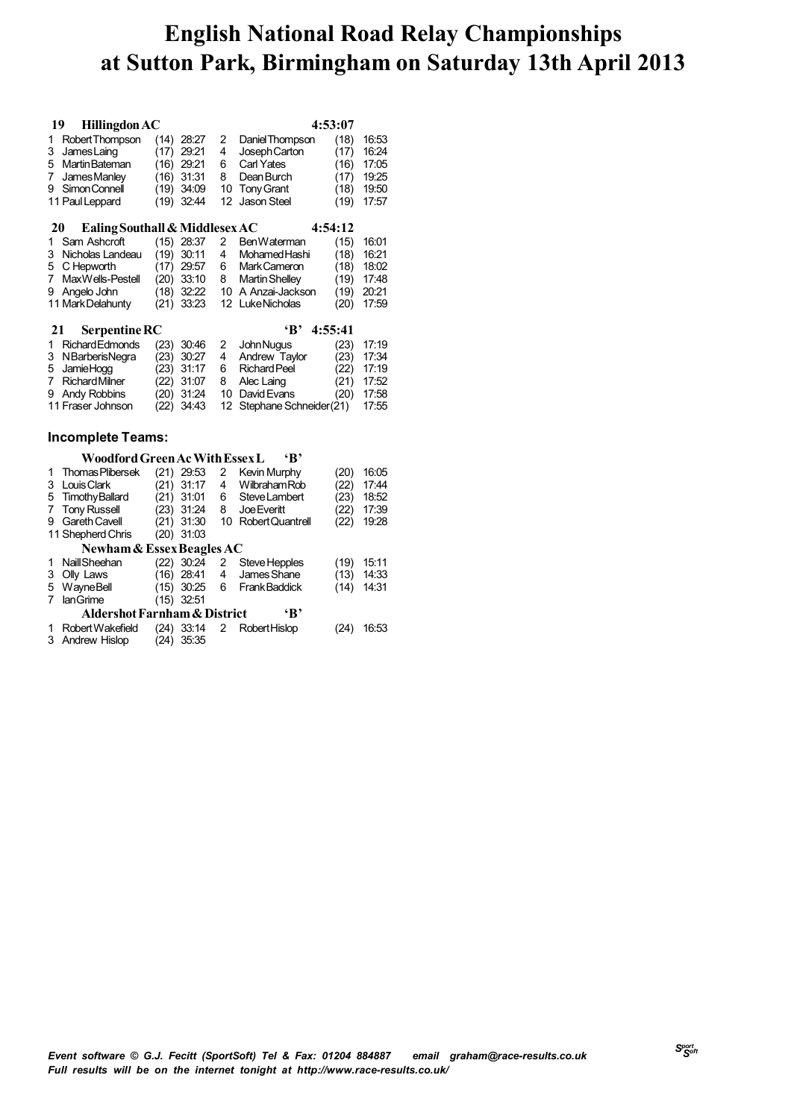| 19                     | <b>Hillingdon AC</b>                                                                                                       |                                              |                                                    |                              |                                                                                                             | 4:53:07                                      |                                                    |  |  |  |
|------------------------|----------------------------------------------------------------------------------------------------------------------------|----------------------------------------------|----------------------------------------------------|------------------------------|-------------------------------------------------------------------------------------------------------------|----------------------------------------------|----------------------------------------------------|--|--|--|
| 1<br>3<br>5.<br>7<br>9 | Robert Thompson<br>James Laing<br>Martin Bateman<br>James Manley<br>Simon Connell<br>11 Paul Leppard                       | (14)<br>(17)<br>(16)<br>(16)<br>(19)<br>(19) | 28:27<br>29:21<br>29:21<br>31:31<br>34:09<br>32:44 | 2<br>4<br>6<br>8<br>10<br>12 | Daniel Thompson<br>Joseph Carton<br>Carl Yates<br>Dean Burch<br>Tony Grant<br>Jason Steel                   | (18)<br>(17)<br>(16)<br>(17)<br>(18)<br>(19) | 16:53<br>16:24<br>17:05<br>19:25<br>19:50<br>17:57 |  |  |  |
| 20                     | Ealing Southall & Middlesex AC                                                                                             |                                              |                                                    |                              |                                                                                                             | 4:54:12                                      |                                                    |  |  |  |
| 1<br>3<br>5<br>7<br>9  | Sam Ashcroft<br>Nicholas Landeau<br>C Hepworth<br>MaxWells-Pestell<br>Angelo John<br>11 Mark Delahunty                     | (15)<br>(19)<br>(17)<br>(20)<br>(18)<br>(21) | 28:37<br>30:11<br>29:57<br>33:10<br>32:22<br>33:23 | 2<br>4<br>6<br>8<br>10       | <b>BenWaterman</b><br>Mohamed Hashi<br>Mark Cameron<br>Martin Shelley<br>A Anzai-Jackson<br>12 LukeNicholas | (15)<br>(18)<br>(18)<br>(19)<br>(19)<br>(20) | 16:01<br>16:21<br>18:02<br>17:48<br>20:21<br>17:59 |  |  |  |
| 21                     | Serpentine RC                                                                                                              |                                              |                                                    |                              | $\mathbf{B}$                                                                                                | 4:55:41                                      |                                                    |  |  |  |
| 1<br>3<br>5<br>7<br>9  | <b>Richard Edmonds</b><br>NBarberisNegra<br><b>JamieHogg</b><br><b>Richard Milner</b><br>Andy Robbins<br>11 Fraser Johnson | (23)<br>(23)<br>(23)<br>(22)<br>(20)<br>(22) | 30:46<br>30:27<br>31:17<br>31:07<br>31:24<br>34:43 | 2<br>4<br>6<br>8<br>10<br>12 | <b>John Nugus</b><br>Andrew Taylor<br>Richard Peel<br>Alec Laing<br>David Evans<br>Stephane Schneider(21)   | (23)<br>(23)<br>(22)<br>(21)<br>(20)         | 17:19<br>17:34<br>17:19<br>17:52<br>17:58<br>17:55 |  |  |  |
|                        | <b>Incomplete Teams:</b>                                                                                                   |                                              |                                                    |                              |                                                                                                             |                                              |                                                    |  |  |  |
|                        | Woodford Green Ac With Essex L<br>٠B,                                                                                      |                                              |                                                    |                              |                                                                                                             |                                              |                                                    |  |  |  |

| 3<br>5<br>9 | <b>Thomas Plibersek</b><br>Louis Clark<br><b>Timothy Ballard</b><br><b>Tony Russell</b><br>Gareth Cavell | (21)<br>(21)<br>(21)<br>(23)<br>(21) | 29.53<br>31:17<br>31:01<br>31:24<br>31:30 | 2<br>4<br>6<br>8<br>10 | <b>Kevin Murphy</b><br><b>Wilbraham Rob</b><br><b>Steve Lambert</b><br>Joe Everitt<br>Robert Quantrell | (20)<br>(22)<br>(23)<br>(22)<br>(22) | 16:05<br>17:44<br>18:52<br>17:39<br>19:28 |  |  |  |  |  |
|-------------|----------------------------------------------------------------------------------------------------------|--------------------------------------|-------------------------------------------|------------------------|--------------------------------------------------------------------------------------------------------|--------------------------------------|-------------------------------------------|--|--|--|--|--|
|             | 11 Shepherd Chris                                                                                        | (20)                                 | 31:03                                     |                        |                                                                                                        |                                      |                                           |  |  |  |  |  |
|             | Newham & Essex Beagles AC                                                                                |                                      |                                           |                        |                                                                                                        |                                      |                                           |  |  |  |  |  |
|             | <b>Naill Sheehan</b>                                                                                     | (22)                                 | 30:24                                     | 2                      | Steve Hepples                                                                                          | (19)                                 | 15:11                                     |  |  |  |  |  |
| 3           | Olly Laws                                                                                                | (16)                                 | 28:41                                     | 4                      | James Shane                                                                                            | (13)                                 | 14:33                                     |  |  |  |  |  |
| 5           | WayneBell                                                                                                | (15)                                 | 30:25                                     | 6                      | <b>Frank Baddick</b>                                                                                   | (14)                                 | 14:31                                     |  |  |  |  |  |
|             | lan Grime                                                                                                | (15)                                 | 32:51                                     |                        |                                                                                                        |                                      |                                           |  |  |  |  |  |
|             | <b>Aldershot Farnham &amp; District</b><br>٠B,                                                           |                                      |                                           |                        |                                                                                                        |                                      |                                           |  |  |  |  |  |
|             | Robert Wakefield                                                                                         | (24)                                 | 33:14                                     | 2                      | Robert Hislop                                                                                          | (24)                                 | 16:53                                     |  |  |  |  |  |
| 3           | Andrew Hislop                                                                                            | (24)                                 | 35.35                                     |                        |                                                                                                        |                                      |                                           |  |  |  |  |  |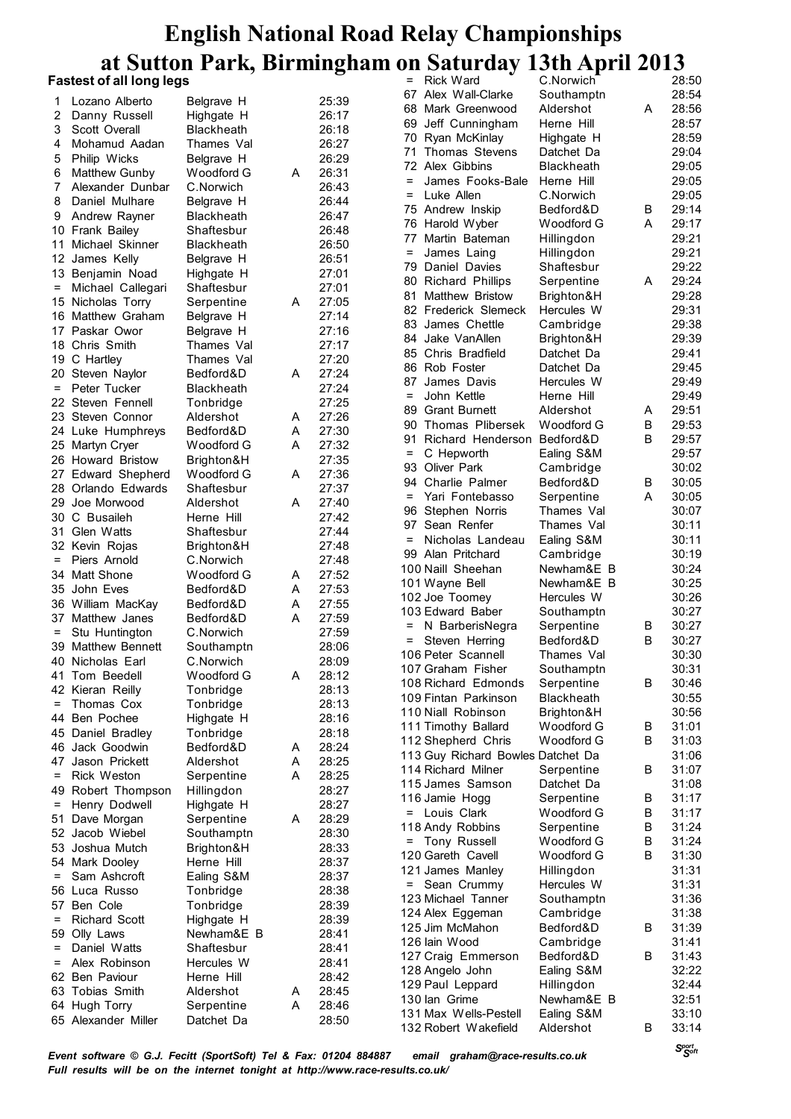|                   | <b>Fastest of all long legs</b>   |                          |   |                | Ξ   | <b>Rick Ward</b>                  | C.Norwich         |   | 28:50          |
|-------------------|-----------------------------------|--------------------------|---|----------------|-----|-----------------------------------|-------------------|---|----------------|
| 1                 | Lozano Alberto                    | Belgrave H               |   | 25:39          | 67  | Alex Wall-Clarke                  | Southamptn        |   | 28:54          |
| 2                 | Danny Russell                     | Highgate H               |   | 26:17          | 68  | Mark Greenwood                    | Aldershot         | A | 28:56          |
| 3                 | Scott Overall                     | <b>Blackheath</b>        |   | 26:18          | 69  | Jeff Cunningham                   | Herne Hill        |   | 28:57          |
| 4                 | Mohamud Aadan                     | Thames Val               |   | 26:27          | 70  | Ryan McKinlay                     | Highgate H        |   | 28:59          |
| 5                 | Philip Wicks                      | Belgrave H               |   | 26:29          | 71  | Thomas Stevens                    | Datchet Da        |   | 29:04          |
| 6                 | <b>Matthew Gunby</b>              | Woodford G               | A | 26:31          | 72  | Alex Gibbins                      | <b>Blackheath</b> |   | 29:05          |
| 7                 | Alexander Dunbar                  | C.Norwich                |   | 26:43          | $=$ | James Fooks-Bale                  | Herne Hill        |   | 29:05          |
| 8                 | Daniel Mulhare                    | Belgrave H               |   | 26:44          | Ξ   | Luke Allen                        | C.Norwich         |   | 29:05          |
| 9                 | Andrew Rayner                     | <b>Blackheath</b>        |   | 26:47          | 75  | Andrew Inskip                     | Bedford&D         | B | 29:14          |
|                   | 10 Frank Bailey                   | Shaftesbur               |   | 26:48          | 76  | Harold Wyber                      | Woodford G        | A | 29:17          |
| 11                |                                   |                          |   | 26:50          |     | 77 Martin Bateman                 | Hillingdon        |   | 29:21          |
|                   | Michael Skinner<br>12 James Kelly | Blackheath               |   | 26:51          | $=$ | James Laing                       | Hillingdon        |   | 29:21          |
|                   |                                   | Belgrave H               |   | 27:01          | 79  | Daniel Davies                     | Shaftesbur        |   | 29:22          |
|                   | 13 Benjamin Noad                  | Highgate H               |   |                | 80  | <b>Richard Phillips</b>           | Serpentine        | A | 29:24          |
| $=$               | Michael Callegari                 | Shaftesbur               |   | 27:01          | 81  | Matthew Bristow                   | Brighton&H        |   | 29:28          |
|                   | 15 Nicholas Torry                 | Serpentine               | A | 27:05          |     | 82 Frederick Slemeck              | Hercules W        |   | 29:31          |
|                   | 16 Matthew Graham                 | Belgrave H               |   | 27:14          | 83  | James Chettle                     | Cambridge         |   | 29:38          |
|                   | 17 Paskar Owor                    | Belgrave H               |   | 27:16          | 84  | Jake VanAllen                     | Brighton&H        |   | 29:39          |
|                   | 18 Chris Smith                    | Thames Val               |   | 27:17          | 85  | Chris Bradfield                   | Datchet Da        |   | 29:41          |
|                   | 19 C Hartley                      | Thames Val               |   | 27:20          | 86  | Rob Foster                        | Datchet Da        |   | 29:45          |
|                   | 20 Steven Naylor                  | Bedford&D                | A | 27:24          | 87  | James Davis                       | Hercules W        |   | 29:49          |
| $\equiv$          | Peter Tucker                      | Blackheath               |   | 27:24          | $=$ | John Kettle                       | Herne Hill        |   | 29:49          |
|                   | 22 Steven Fennell                 | Tonbridge                |   | 27:25          | 89  | <b>Grant Burnett</b>              | Aldershot         | A | 29:51          |
|                   | 23 Steven Connor                  | Aldershot                | A | 27:26          | 90  | Thomas Plibersek                  | Woodford G        | B | 29:53          |
|                   | 24 Luke Humphreys                 | Bedford&D                | Α | 27:30          | 91  | Richard Henderson                 | Bedford&D         | В | 29:57          |
|                   | 25 Martyn Cryer                   | Woodford G               | Α | 27:32          | $=$ | C Hepworth                        | Ealing S&M        |   | 29:57          |
|                   | 26 Howard Bristow                 | Brighton&H               |   | 27:35          | 93  | Oliver Park                       | Cambridge         |   | 30:02          |
|                   | 27 Edward Shepherd                | Woodford G               | A | 27:36          | 94  | Charlie Palmer                    | Bedford&D         | B | 30:05          |
|                   | 28 Orlando Edwards                | Shaftesbur               |   | 27:37          | $=$ | Yari Fontebasso                   | Serpentine        | A | 30:05          |
| 29                | Joe Morwood                       | Aldershot                | Α | 27:40          | 96  | Stephen Norris                    | Thames Val        |   | 30:07          |
|                   | 30 C Busaileh                     | Herne Hill               |   | 27:42          |     | 97 Sean Renfer                    | Thames Val        |   | 30:11          |
|                   | 31 Glen Watts                     | Shaftesbur               |   | 27:44          | $=$ | Nicholas Landeau                  | Ealing S&M        |   | 30:11          |
|                   | 32 Kevin Rojas                    | Brighton&H               |   | 27:48          |     | 99 Alan Pritchard                 | Cambridge         |   | 30:19          |
| $=$               | Piers Arnold                      | C.Norwich                |   | 27:48          |     | 100 Naill Sheehan                 | Newham&E B        |   | 30:24          |
|                   | 34 Matt Shone                     | Woodford G               | A | 27:52          |     |                                   | Newham&E B        |   |                |
|                   | 35 John Eves                      | Bedford&D                | Α | 27:53          |     | 101 Wayne Bell                    |                   |   | 30:25<br>30:26 |
|                   | 36 William MacKay                 | Bedford&D                | A | 27:55          |     | 102 Joe Toomey                    | Hercules W        |   |                |
|                   | 37 Matthew Janes                  | Bedford&D                | A | 27:59          |     | 103 Edward Baber                  | Southamptn        |   | 30:27          |
| $\qquad \qquad =$ | Stu Huntington                    | C.Norwich                |   | 27:59          | =   | N BarberisNegra                   | Serpentine        | B | 30:27          |
| 39                | <b>Matthew Bennett</b>            | Southamptn               |   | 28:06          | =   | Steven Herring                    | Bedford&D         | B | 30:27          |
|                   | 40 Nicholas Earl                  | C.Norwich                |   | 28:09          |     | 106 Peter Scannell                | Thames Val        |   | 30:30          |
| 41                | Tom Beedell                       | Woodford G               | A | 28:12          |     | 107 Graham Fisher                 | Southamptn        |   | 30:31          |
|                   | 42 Kieran Reilly                  | Tonbridge                |   | 28:13          |     | 108 Richard Edmonds               | Serpentine        | B | 30:46          |
| $\qquad \qquad =$ | Thomas Cox                        | Tonbridge                |   | 28:13          |     | 109 Fintan Parkinson              | <b>Blackheath</b> |   | 30:55          |
|                   | 44 Ben Pochee                     | Highgate H               |   | 28:16          |     | 110 Niall Robinson                | Brighton&H        |   | 30:56          |
|                   | 45 Daniel Bradley                 | Tonbridge                |   | 28:18          |     | 111 Timothy Ballard               | Woodford G        | B | 31:01          |
|                   | 46 Jack Goodwin                   | Bedford&D                | Α | 28:24          |     | 112 Shepherd Chris                | Woodford G        | В | 31:03          |
|                   | 47 Jason Prickett                 | Aldershot                | Α | 28:25          |     | 113 Guy Richard Bowles Datchet Da |                   |   | 31:06          |
| $\qquad \qquad =$ | <b>Rick Weston</b>                | Serpentine               | A | 28:25          |     | 114 Richard Milner                | Serpentine        | в | 31:07          |
|                   | 49 Robert Thompson                | Hillingdon               |   | 28:27          |     | 115 James Samson                  | Datchet Da        |   | 31:08          |
| Ξ                 | Henry Dodwell                     | Highgate H               |   | 28:27          |     | 116 Jamie Hogg                    | Serpentine        | B | 31:17          |
| 51                | Dave Morgan                       | Serpentine               | A | 28:29          |     | = Louis Clark                     | Woodford G        | B | 31:17          |
|                   | 52 Jacob Wiebel                   | Southamptn               |   | 28:30          |     | 118 Andy Robbins                  | Serpentine        | B | 31:24          |
|                   | 53 Joshua Mutch                   | Brighton&H               |   | 28:33          |     | = Tony Russell                    | Woodford G        | B | 31:24          |
|                   | 54 Mark Dooley                    | Herne Hill               |   | 28:37          |     | 120 Gareth Cavell                 | Woodford G        | B | 31:30          |
| =                 | Sam Ashcroft                      | Ealing S&M               |   | 28:37          |     | 121 James Manley                  | Hillingdon        |   | 31:31          |
|                   | 56 Luca Russo                     | Tonbridge                |   | 28:38          |     | = Sean Crummy                     | Hercules W        |   | 31:31          |
|                   | 57 Ben Cole                       | Tonbridge                |   | 28:39          |     | 123 Michael Tanner                | Southamptn        |   | 31:36          |
| Ξ                 | <b>Richard Scott</b>              | Highgate H               |   | 28:39          |     | 124 Alex Eggeman                  | Cambridge         |   | 31:38          |
|                   |                                   |                          |   |                |     | 125 Jim McMahon                   | Bedford&D         | B | 31:39          |
| 59<br>=           | Olly Laws                         | Newham&E B<br>Shaftesbur |   | 28:41<br>28:41 |     | 126 Iain Wood                     | Cambridge         |   | 31:41          |
|                   | Daniel Watts                      |                          |   |                |     | 127 Craig Emmerson                | Bedford&D         | в | 31:43          |
| =                 | Alex Robinson                     | Hercules W               |   | 28:41          |     | 128 Angelo John                   | Ealing S&M        |   | 32:22          |
|                   | 62 Ben Paviour                    | Herne Hill               |   | 28:42          |     | 129 Paul Leppard                  | Hillingdon        |   | 32:44          |
|                   | 63 Tobias Smith                   | Aldershot                | A | 28:45          |     | 130 Ian Grime                     | Newham&E B        |   | 32:51          |
|                   | 64 Hugh Torry                     | Serpentine               | Α | 28:46          |     | 131 Max Wells-Pestell             | Ealing S&M        |   | 33:10          |
|                   | 65 Alexander Miller               | Datchet Da               |   | 28:50          |     | 132 Robert Wakefield              | Aldershot         | B | 33:14          |
|                   |                                   |                          |   |                |     |                                   |                   |   |                |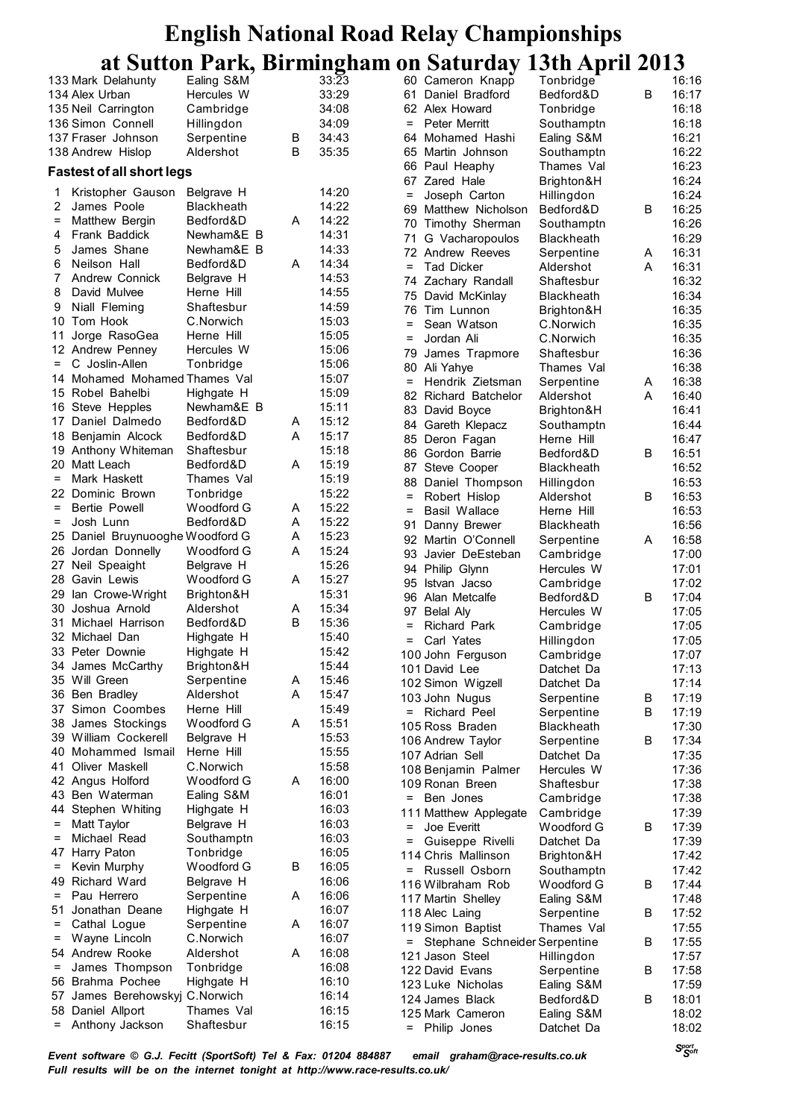|     | 133 Mark Delahunty               | $\sim$ $\sim$ $\sim$ $\sim$ $\sim$<br>Ealing S&M |   | 33:23 |                   | 60 Cameron Knapp              | $\sim$ $\sim$ $\sim$ $\sim$ $\sim$<br>Tonbridge |   | 16:16 |
|-----|----------------------------------|--------------------------------------------------|---|-------|-------------------|-------------------------------|-------------------------------------------------|---|-------|
|     | 134 Alex Urban                   | Hercules W                                       |   | 33:29 |                   | 61 Daniel Bradford            | Bedford&D                                       | B | 16:17 |
|     | 135 Neil Carrington              | Cambridge                                        |   | 34:08 |                   | 62 Alex Howard                | Tonbridge                                       |   | 16:18 |
|     | 136 Simon Connell                | Hillingdon                                       |   | 34:09 | $=$               | Peter Merritt                 | Southamptn                                      |   | 16:18 |
|     | 137 Fraser Johnson               | Serpentine                                       | в | 34:43 | 64                | Mohamed Hashi                 | Ealing S&M                                      |   | 16:21 |
|     | 138 Andrew Hislop                | Aldershot                                        | B | 35:35 | 65                | Martin Johnson                | Southamptn                                      |   | 16:22 |
|     |                                  |                                                  |   |       | 66                |                               | Thames Val                                      |   | 16:23 |
|     | <b>Fastest of all short legs</b> |                                                  |   |       | 67                | Paul Heaphy<br>Zared Hale     | Brighton&H                                      |   | 16:24 |
| 1   | Kristopher Gauson                | Belgrave H                                       |   | 14:20 | $=$               | Joseph Carton                 |                                                 |   | 16:24 |
| 2   | James Poole                      | <b>Blackheath</b>                                |   | 14:22 |                   |                               | Hillingdon<br>Bedford&D                         | В | 16:25 |
| Ξ   | Matthew Bergin                   | Bedford&D                                        | A | 14:22 | 69                | Matthew Nicholson             |                                                 |   |       |
| 4   | Frank Baddick                    | Newham&E B                                       |   | 14:31 |                   | 70 Timothy Sherman            | Southamptn                                      |   | 16:26 |
| 5   | James Shane                      | Newham&E B                                       |   | 14:33 | 71                | G Vacharopoulos               | <b>Blackheath</b>                               |   | 16:29 |
| 6   | Neilson Hall                     | Bedford&D                                        | A | 14:34 |                   | 72 Andrew Reeves              | Serpentine                                      | A | 16:31 |
| 7   | Andrew Connick                   | Belgrave H                                       |   | 14:53 | $\qquad \qquad =$ | <b>Tad Dicker</b>             | Aldershot                                       | A | 16:31 |
| 8   | David Mulvee                     | Herne Hill                                       |   | 14:55 | 74                | Zachary Randall               | Shaftesbur                                      |   | 16:32 |
| 9   | Niall Fleming                    | Shaftesbur                                       |   | 14:59 | 75                | David McKinlay                | <b>Blackheath</b>                               |   | 16:34 |
|     | 10 Tom Hook                      | C.Norwich                                        |   | 15:03 | 76                | Tim Lunnon                    | Brighton&H                                      |   | 16:35 |
|     | Jorge RasoGea                    | Herne Hill                                       |   | 15:05 | =                 | Sean Watson                   | C.Norwich                                       |   | 16:35 |
| 11  | 12 Andrew Penney                 | Hercules W                                       |   | 15:06 | $\qquad \qquad =$ | Jordan Ali                    | C.Norwich                                       |   | 16:35 |
|     | C Joslin-Allen                   |                                                  |   |       | 79                | James Trapmore                | Shaftesbur                                      |   | 16:36 |
| $=$ |                                  | Tonbridge                                        |   | 15:06 | 80                | Ali Yahye                     | Thames Val                                      |   | 16:38 |
| 14  | Mohamed Mohamed Thames Val       |                                                  |   | 15:07 | $\equiv$          | Hendrik Zietsman              | Serpentine                                      | A | 16:38 |
|     | 15 Robel Bahelbi                 | Highgate H                                       |   | 15:09 |                   | 82 Richard Batchelor          | Aldershot                                       | A | 16:40 |
|     | 16 Steve Hepples                 | Newham&E B                                       |   | 15:11 | 83                | David Boyce                   | Brighton&H                                      |   | 16:41 |
| 17  | Daniel Dalmedo                   | Bedford&D                                        | A | 15:12 | 84                | Gareth Klepacz                | Southamptn                                      |   | 16:44 |
|     | 18 Benjamin Alcock               | Bedford&D                                        | A | 15:17 |                   | 85 Deron Fagan                | Herne Hill                                      |   | 16:47 |
|     | 19 Anthony Whiteman              | Shaftesbur                                       |   | 15:18 | 86                | Gordon Barrie                 | Bedford&D                                       | В | 16:51 |
|     | 20 Matt Leach                    | Bedford&D                                        | A | 15:19 |                   | 87 Steve Cooper               | <b>Blackheath</b>                               |   | 16:52 |
| $=$ | Mark Haskett                     | Thames Val                                       |   | 15:19 | 88                | Daniel Thompson               | Hillingdon                                      |   | 16:53 |
| 22  | Dominic Brown                    | Tonbridge                                        |   | 15:22 | =                 | Robert Hislop                 | Aldershot                                       | В | 16:53 |
| $=$ | Bertie Powell                    | Woodford G                                       | Α | 15:22 | =                 | Basil Wallace                 | Herne Hill                                      |   | 16:53 |
| Ξ   | Josh Lunn                        | Bedford&D                                        | Α | 15:22 | 91                | Danny Brewer                  | <b>Blackheath</b>                               |   | 16:56 |
|     | 25 Daniel Bruynuooghe Woodford G |                                                  | A | 15:23 |                   | 92 Martin O'Connell           | Serpentine                                      | A | 16:58 |
|     | 26 Jordan Donnelly               | Woodford G                                       | A | 15:24 | 93                | Javier DeEsteban              | Cambridge                                       |   | 17:00 |
| 27  | Neil Speaight                    | Belgrave H                                       |   | 15:26 |                   | 94 Philip Glynn               | Hercules W                                      |   | 17:01 |
|     | 28 Gavin Lewis                   | Woodford G                                       | A | 15:27 | 95                | Istvan Jacso                  | Cambridge                                       |   | 17:02 |
| 29  | lan Crowe-Wright                 | Brighton&H                                       |   | 15:31 | 96                | Alan Metcalfe                 | Bedford&D                                       | B | 17:04 |
| 30. | Joshua Arnold                    | Aldershot                                        | A | 15:34 |                   | 97 Belal Aly                  | Hercules W                                      |   | 17:05 |
| 31  | Michael Harrison                 | Bedford&D                                        | в | 15:36 | $\quad \  \  =$   | Richard Park                  | Cambridge                                       |   | 17:05 |
|     | 32 Michael Dan                   | Highgate H                                       |   | 15:40 | =                 | Carl Yates                    | Hillingdon                                      |   | 17:05 |
|     | 33 Peter Downie                  | Highgate H                                       |   | 15:42 |                   | 100 John Ferguson             | Cambridge                                       |   | 17:07 |
|     | 34 James McCarthy                | Brighton&H                                       |   | 15:44 |                   | 101 David Lee                 | Datchet Da                                      |   | 17:13 |
|     | 35 Will Green                    | Serpentine                                       | Α | 15:46 |                   | 102 Simon Wigzell             | Datchet Da                                      |   | 17:14 |
|     | 36 Ben Bradley                   | Aldershot                                        | A | 15:47 |                   | 103 John Nugus                | Serpentine                                      | B | 17:19 |
|     | 37 Simon Coombes                 | Herne Hill                                       |   | 15:49 |                   | = Richard Peel                | Serpentine                                      | B | 17:19 |
|     | 38 James Stockings               | Woodford G                                       | A | 15:51 |                   | 105 Ross Braden               | <b>Blackheath</b>                               |   | 17:30 |
|     | 39 William Cockerell             | Belgrave H                                       |   | 15:53 |                   | 106 Andrew Taylor             | Serpentine                                      | В | 17:34 |
|     | 40 Mohammed Ismail               | Herne Hill                                       |   | 15:55 |                   | 107 Adrian Sell               | Datchet Da                                      |   | 17:35 |
| 41  | Oliver Maskell                   | C.Norwich                                        |   | 15:58 |                   | 108 Benjamin Palmer           | Hercules W                                      |   | 17:36 |
|     | 42 Angus Holford                 | Woodford G                                       | A | 16:00 |                   | 109 Ronan Breen               | Shaftesbur                                      |   | 17:38 |
|     | 43 Ben Waterman                  | Ealing S&M                                       |   | 16:01 | Ξ.                | Ben Jones                     | Cambridge                                       |   | 17:38 |
| 44  | Stephen Whiting                  | Highgate H                                       |   | 16:03 |                   | 111 Matthew Applegate         | Cambridge                                       |   | 17:39 |
| Ξ   | Matt Taylor                      | Belgrave H                                       |   | 16:03 | =                 | Joe Everitt                   | Woodford G                                      | В | 17:39 |
| =   | Michael Read                     | Southamptn                                       |   | 16:03 | $=$               | Guiseppe Rivelli              | Datchet Da                                      |   | 17:39 |
| 47  | Harry Paton                      | Tonbridge                                        |   | 16:05 |                   | 114 Chris Mallinson           |                                                 |   | 17:42 |
| Ξ   | Kevin Murphy                     | Woodford G                                       | В | 16:05 |                   |                               | Brighton&H                                      |   | 17:42 |
| 49  | Richard Ward                     | Belgrave H                                       |   | 16:06 |                   | = Russell Osborn              | Southamptn                                      |   |       |
| Ξ   | Pau Herrero                      | Serpentine                                       | Α | 16:06 |                   | 116 Wilbraham Rob             | Woodford G                                      | В | 17:44 |
| 51  | Jonathan Deane                   | Highgate H                                       |   | 16:07 |                   | 117 Martin Shelley            | Ealing S&M                                      |   | 17:48 |
| =   | Cathal Logue                     | Serpentine                                       | A | 16:07 |                   | 118 Alec Laing                | Serpentine                                      | В | 17:52 |
| Ξ   | Wayne Lincoln                    | C.Norwich                                        |   | 16:07 |                   | 119 Simon Baptist             | Thames Val                                      |   | 17:55 |
|     | 54 Andrew Rooke                  | Aldershot                                        | A | 16:08 | Ξ.                | Stephane Schneider Serpentine |                                                 | В | 17:55 |
| Ξ   | James Thompson                   | Tonbridge                                        |   | 16:08 |                   | 121 Jason Steel               | Hillingdon                                      |   | 17:57 |
|     | 56 Brahma Pochee                 |                                                  |   | 16:10 |                   | 122 David Evans               | Serpentine                                      | В | 17:58 |
|     | James Berehowskyj C.Norwich      | Highgate H                                       |   | 16:14 |                   | 123 Luke Nicholas             | Ealing S&M                                      |   | 17:59 |
| 57  | 58 Daniel Allport                | Thames Val                                       |   | 16:15 |                   | 124 James Black               | Bedford&D                                       | B | 18:01 |
|     | = Anthony Jackson                | Shaftesbur                                       |   | 16:15 |                   | 125 Mark Cameron              | Ealing S&M                                      |   | 18:02 |
|     |                                  |                                                  |   |       |                   | = Philip Jones                | Datchet Da                                      |   | 18:02 |